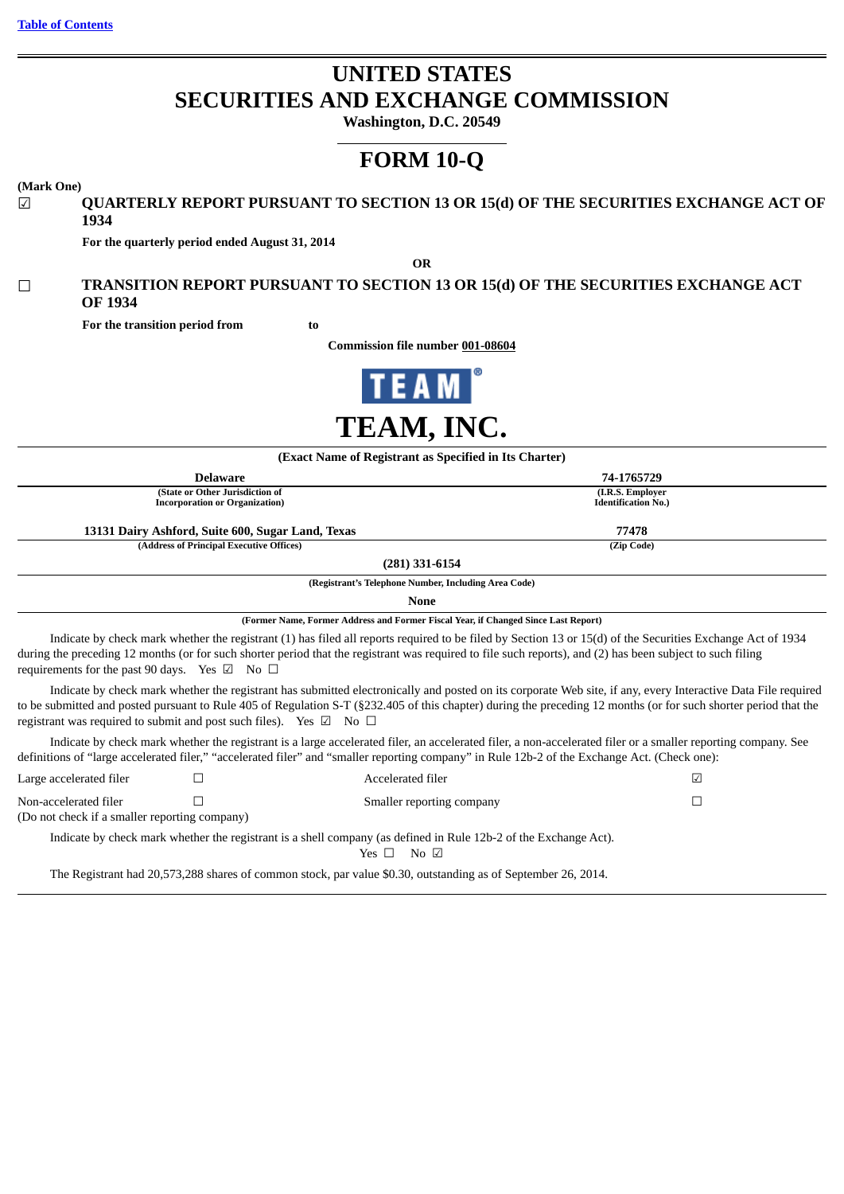# **UNITED STATES SECURITIES AND EXCHANGE COMMISSION**

**Washington, D.C. 20549**

# **FORM 10-Q**

#### **(Mark One)**

## ☑ **QUARTERLY REPORT PURSUANT TO SECTION 13 OR 15(d) OF THE SECURITIES EXCHANGE ACT OF 1934**

**For the quarterly period ended August 31, 2014**

**OR**

# ☐ **TRANSITION REPORT PURSUANT TO SECTION 13 OR 15(d) OF THE SECURITIES EXCHANGE ACT OF 1934**

**For the transition period from to** 

**Commission file number 001-08604**



| (Exact Name of Registrant as Specified in Its Charter)                            |                                                                           |                                                                                                                                                                                                                                                                                                                          |                                                                                                                                                                                                                                                                                                                                   |
|-----------------------------------------------------------------------------------|---------------------------------------------------------------------------|--------------------------------------------------------------------------------------------------------------------------------------------------------------------------------------------------------------------------------------------------------------------------------------------------------------------------|-----------------------------------------------------------------------------------------------------------------------------------------------------------------------------------------------------------------------------------------------------------------------------------------------------------------------------------|
|                                                                                   | <b>Delaware</b>                                                           |                                                                                                                                                                                                                                                                                                                          | 74-1765729                                                                                                                                                                                                                                                                                                                        |
|                                                                                   | (State or Other Jurisdiction of<br><b>Incorporation or Organization</b> ) |                                                                                                                                                                                                                                                                                                                          | (I.R.S. Employer<br><b>Identification No.)</b>                                                                                                                                                                                                                                                                                    |
|                                                                                   | 13131 Dairy Ashford, Suite 600, Sugar Land, Texas                         |                                                                                                                                                                                                                                                                                                                          | 77478                                                                                                                                                                                                                                                                                                                             |
|                                                                                   | (Address of Principal Executive Offices)                                  |                                                                                                                                                                                                                                                                                                                          | (Zip Code)                                                                                                                                                                                                                                                                                                                        |
|                                                                                   |                                                                           | (281) 331-6154                                                                                                                                                                                                                                                                                                           |                                                                                                                                                                                                                                                                                                                                   |
|                                                                                   |                                                                           | (Registrant's Telephone Number, Including Area Code)                                                                                                                                                                                                                                                                     |                                                                                                                                                                                                                                                                                                                                   |
|                                                                                   |                                                                           | None                                                                                                                                                                                                                                                                                                                     |                                                                                                                                                                                                                                                                                                                                   |
|                                                                                   |                                                                           | (Former Name, Former Address and Former Fiscal Year, if Changed Since Last Report)                                                                                                                                                                                                                                       |                                                                                                                                                                                                                                                                                                                                   |
| requirements for the past 90 days. Yes $\boxtimes$ No $\Box$                      |                                                                           | Indicate by check mark whether the registrant (1) has filed all reports required to be filed by Section 13 or 15(d) of the Securities Exchange Act of 1934<br>during the preceding 12 months (or for such shorter period that the registrant was required to file such reports), and (2) has been subject to such filing |                                                                                                                                                                                                                                                                                                                                   |
| registrant was required to submit and post such files). Yes $\boxtimes$ No $\Box$ |                                                                           |                                                                                                                                                                                                                                                                                                                          | Indicate by check mark whether the registrant has submitted electronically and posted on its corporate Web site, if any, every Interactive Data File required<br>to be submitted and posted pursuant to Rule 405 of Regulation S-T (§232.405 of this chapter) during the preceding 12 months (or for such shorter period that the |
|                                                                                   |                                                                           | Indicate by check mark whether the registrant is a large accelerated filer, an accelerated filer, a non-accelerated filer or a smaller reporting company. See<br>definitions of "large accelerated filer," "accelerated filer" and "smaller reporting company" in Rule 12b-2 of the Exchange Act. (Check one):           |                                                                                                                                                                                                                                                                                                                                   |
| Large accelerated filer                                                           |                                                                           | Accelerated filer                                                                                                                                                                                                                                                                                                        | ☑                                                                                                                                                                                                                                                                                                                                 |
| Non-accelerated filer<br>(Do not check if a smaller reporting company)            |                                                                           | Smaller reporting company                                                                                                                                                                                                                                                                                                | П                                                                                                                                                                                                                                                                                                                                 |
|                                                                                   |                                                                           | Indicate by check mark whether the registrant is a shell company (as defined in Rule 12b-2 of the Exchange Act).<br>No $\boxtimes$<br>Yes $\Box$                                                                                                                                                                         |                                                                                                                                                                                                                                                                                                                                   |

The Registrant had 20,573,288 shares of common stock, par value \$0.30, outstanding as of September 26, 2014.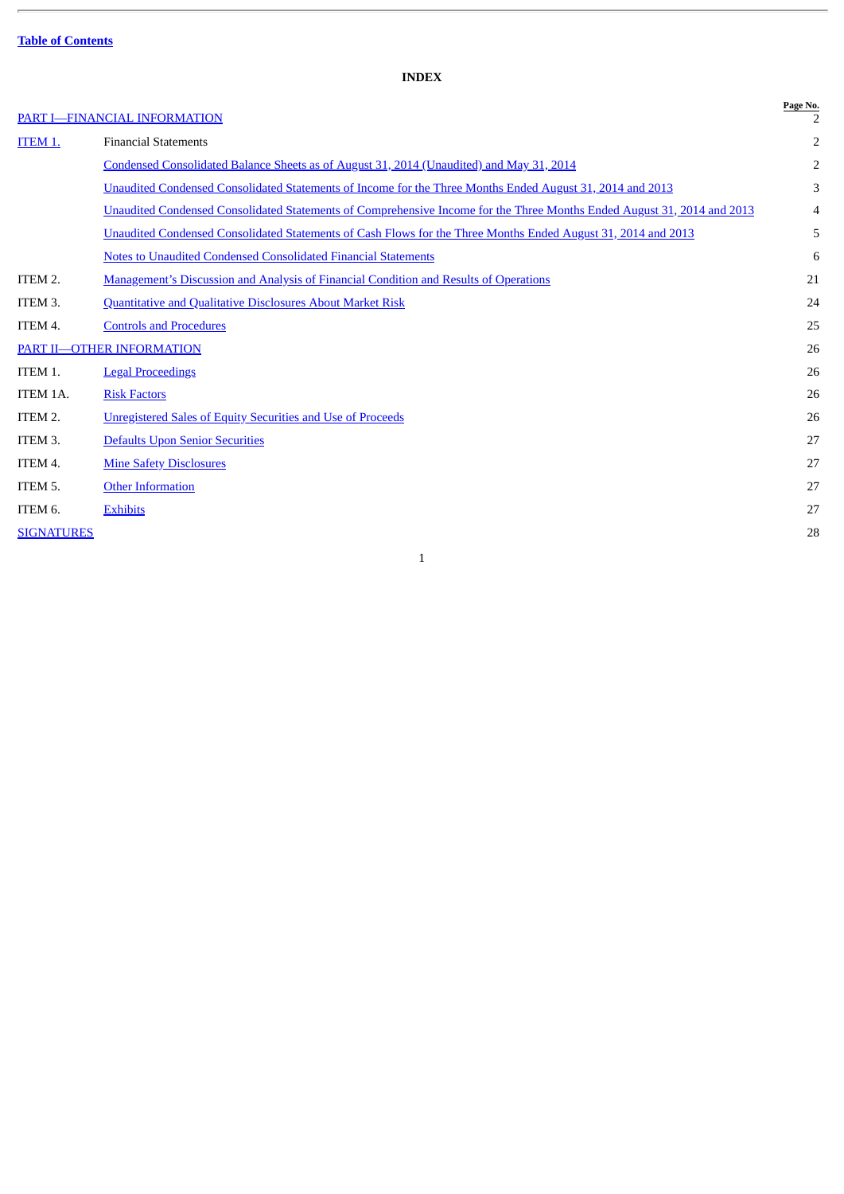# **INDEX**

# PART I-FINANCIAL INFORMATION

<span id="page-1-0"></span>

|                   | PART I-FINANCIAL INFORMATION                                                                                            | Page No. |
|-------------------|-------------------------------------------------------------------------------------------------------------------------|----------|
| ITEM 1.           | <b>Financial Statements</b>                                                                                             | 2        |
|                   | Condensed Consolidated Balance Sheets as of August 31, 2014 (Unaudited) and May 31, 2014                                | 2        |
|                   | <b>Unaudited Condensed Consolidated Statements of Income for the Three Months Ended August 31, 2014 and 2013</b>        | 3        |
|                   | Unaudited Condensed Consolidated Statements of Comprehensive Income for the Three Months Ended August 31, 2014 and 2013 | 4        |
|                   | Unaudited Condensed Consolidated Statements of Cash Flows for the Three Months Ended August 31, 2014 and 2013           | 5        |
|                   | Notes to Unaudited Condensed Consolidated Financial Statements                                                          | 6        |
| ITEM 2.           | Management's Discussion and Analysis of Financial Condition and Results of Operations                                   | 21       |
| ITEM 3.           | <b>Quantitative and Qualitative Disclosures About Market Risk</b>                                                       | 24       |
| ITEM 4.           | <b>Controls and Procedures</b>                                                                                          | 25       |
|                   | PART II-OTHER INFORMATION                                                                                               | 26       |
| ITEM 1.           | <b>Legal Proceedings</b>                                                                                                | 26       |
| ITEM 1A.          | <b>Risk Factors</b>                                                                                                     | 26       |
| ITEM 2.           | <b>Unregistered Sales of Equity Securities and Use of Proceeds</b>                                                      | 26       |
| ITEM 3.           | <b>Defaults Upon Senior Securities</b>                                                                                  | 27       |
| ITEM 4.           | <b>Mine Safety Disclosures</b>                                                                                          | 27       |
| ITEM 5.           | <b>Other Information</b>                                                                                                | 27       |
| ITEM 6.           | <b>Exhibits</b>                                                                                                         | 27       |
| <b>SIGNATURES</b> |                                                                                                                         | 28       |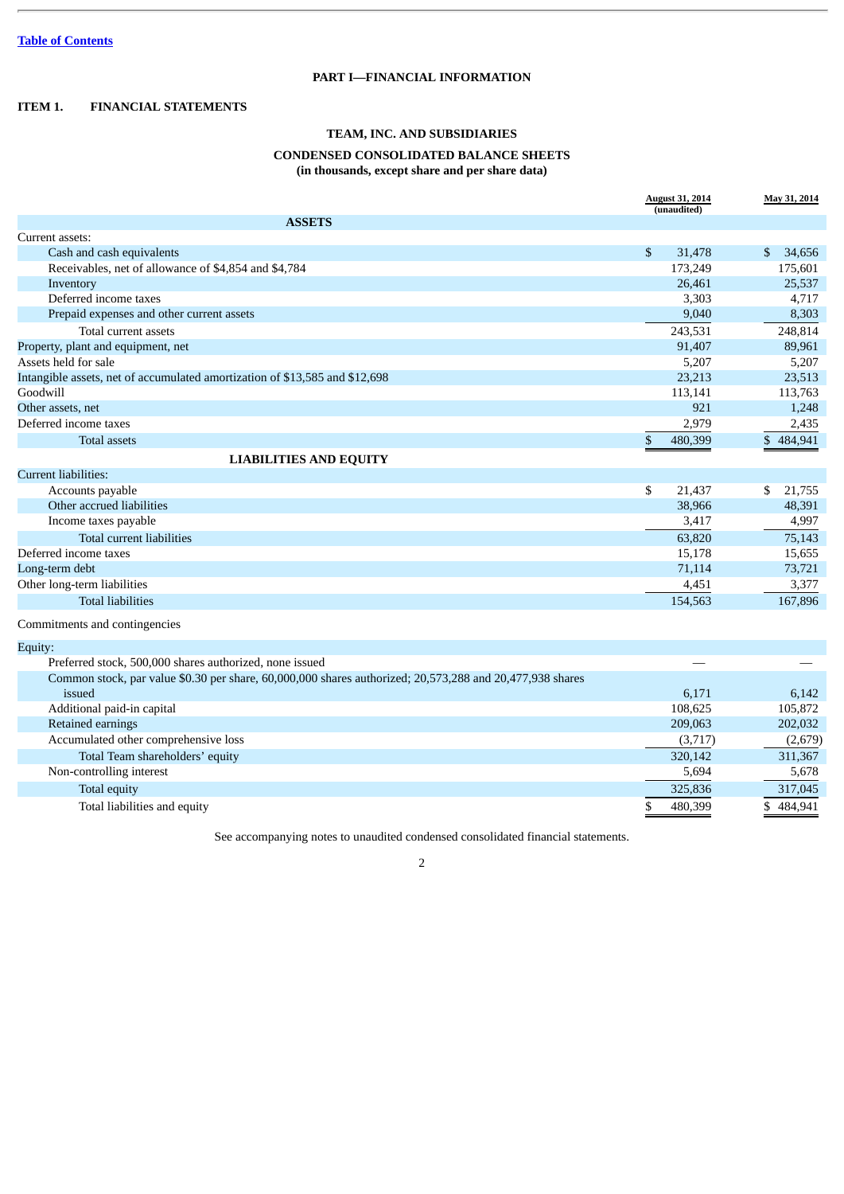# **PART I—FINANCIAL INFORMATION**

## <span id="page-2-2"></span><span id="page-2-1"></span><span id="page-2-0"></span>**ITEM 1. FINANCIAL STATEMENTS**

# **TEAM, INC. AND SUBSIDIARIES**

## **CONDENSED CONSOLIDATED BALANCE SHEETS**

**(in thousands, except share and per share data)**

|                                                                                                          | <b>August 31, 2014</b><br>(unaudited) | May 31, 2014 |
|----------------------------------------------------------------------------------------------------------|---------------------------------------|--------------|
| <b>ASSETS</b>                                                                                            |                                       |              |
| Current assets:                                                                                          |                                       |              |
| Cash and cash equivalents                                                                                | \$<br>31,478                          | \$<br>34,656 |
| Receivables, net of allowance of \$4,854 and \$4,784                                                     | 173,249                               | 175,601      |
| Inventory                                                                                                | 26,461                                | 25,537       |
| Deferred income taxes                                                                                    | 3,303                                 | 4,717        |
| Prepaid expenses and other current assets                                                                | 9,040                                 | 8,303        |
| Total current assets                                                                                     | 243,531                               | 248,814      |
| Property, plant and equipment, net                                                                       | 91,407                                | 89,961       |
| Assets held for sale                                                                                     | 5,207                                 | 5,207        |
| Intangible assets, net of accumulated amortization of \$13,585 and \$12,698                              | 23,213                                | 23,513       |
| Goodwill                                                                                                 | 113,141                               | 113,763      |
| Other assets, net                                                                                        | 921                                   | 1,248        |
| Deferred income taxes                                                                                    | 2,979                                 | 2,435        |
| Total assets                                                                                             | \$<br>480,399                         | \$484,941    |
| <b>LIABILITIES AND EQUITY</b>                                                                            |                                       |              |
| <b>Current liabilities:</b>                                                                              |                                       |              |
| Accounts payable                                                                                         | \$<br>21,437                          | \$<br>21,755 |
| Other accrued liabilities                                                                                | 38,966                                | 48,391       |
| Income taxes payable                                                                                     | 3,417                                 | 4,997        |
| Total current liabilities                                                                                | 63,820                                | 75,143       |
| Deferred income taxes                                                                                    | 15,178                                | 15,655       |
| Long-term debt                                                                                           | 71,114                                | 73,721       |
| Other long-term liabilities                                                                              | 4,451                                 | 3,377        |
| <b>Total liabilities</b>                                                                                 | 154,563                               | 167,896      |
| Commitments and contingencies                                                                            |                                       |              |
| Equity:                                                                                                  |                                       |              |
| Preferred stock, 500,000 shares authorized, none issued                                                  |                                       |              |
| Common stock, par value \$0.30 per share, 60,000,000 shares authorized; 20,573,288 and 20,477,938 shares |                                       |              |
| issued                                                                                                   | 6,171                                 | 6,142        |
| Additional paid-in capital                                                                               | 108,625                               | 105,872      |
| Retained earnings                                                                                        | 209,063                               | 202,032      |
| Accumulated other comprehensive loss                                                                     | (3,717)                               | (2,679)      |
| Total Team shareholders' equity                                                                          | 320,142                               | 311,367      |
| Non-controlling interest                                                                                 | 5,694                                 | 5,678        |
| Total equity                                                                                             | 325,836                               | 317,045      |
| Total liabilities and equity                                                                             | \$<br>480,399                         | \$484,941    |

See accompanying notes to unaudited condensed consolidated financial statements.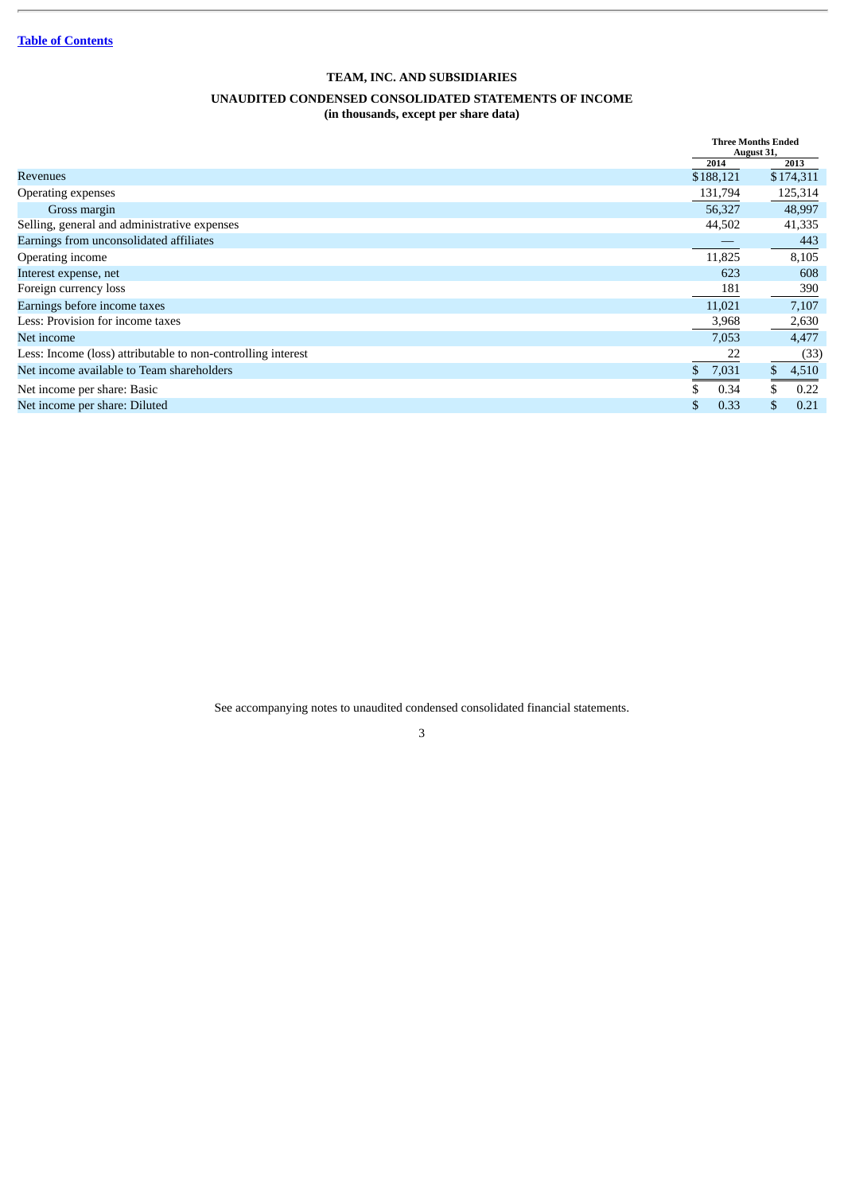# **TEAM, INC. AND SUBSIDIARIES**

## **UNAUDITED CONDENSED CONSOLIDATED STATEMENTS OF INCOME**

**(in thousands, except per share data)**

<span id="page-3-0"></span>

|                                                              |             | <b>Three Months Ended</b><br>August 31, |
|--------------------------------------------------------------|-------------|-----------------------------------------|
|                                                              | 2014        | 2013                                    |
| <b>Revenues</b>                                              | \$188,121   | \$174,311                               |
| Operating expenses                                           | 131,794     | 125,314                                 |
| Gross margin                                                 | 56,327      | 48,997                                  |
| Selling, general and administrative expenses                 | 44,502      | 41,335                                  |
| Earnings from unconsolidated affiliates                      |             | 443                                     |
| Operating income                                             | 11,825      | 8,105                                   |
| Interest expense, net                                        | 623         | 608                                     |
| Foreign currency loss                                        | 181         | 390                                     |
| Earnings before income taxes                                 | 11,021      | 7,107                                   |
| Less: Provision for income taxes                             | 3,968       | 2,630                                   |
| Net income                                                   | 7,053       | 4,477                                   |
| Less: Income (loss) attributable to non-controlling interest | 22          | (33)                                    |
| Net income available to Team shareholders                    | \$<br>7,031 | $\mathbb{S}$<br>4,510                   |
| Net income per share: Basic                                  | 0.34        | 0.22                                    |
| Net income per share: Diluted                                | 0.33        | \$<br>0.21                              |

See accompanying notes to unaudited condensed consolidated financial statements.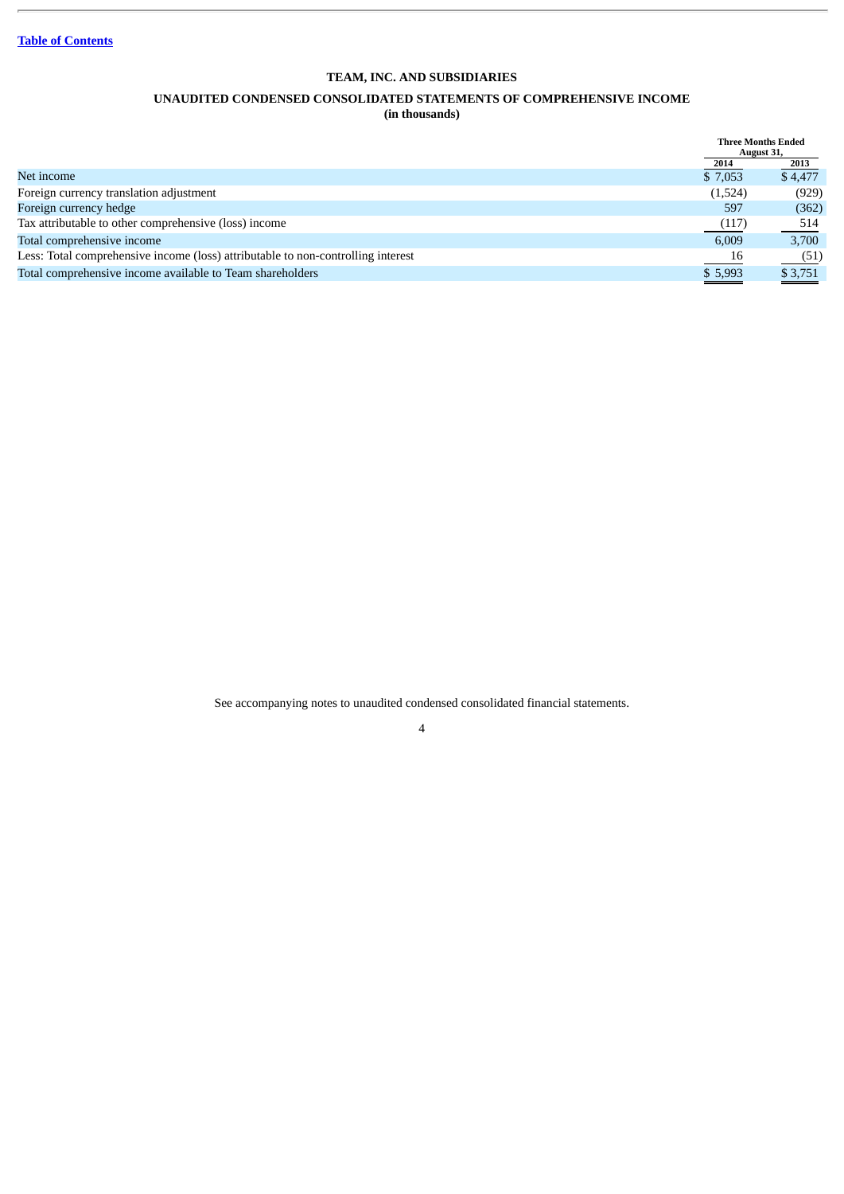# **TEAM, INC. AND SUBSIDIARIES**

# **UNAUDITED CONDENSED CONSOLIDATED STATEMENTS OF COMPREHENSIVE INCOME**

**(in thousands)**

<span id="page-4-0"></span>

|                                                                                  | <b>Three Months Ended</b><br>August 31, |         |
|----------------------------------------------------------------------------------|-----------------------------------------|---------|
|                                                                                  | 2014                                    | 2013    |
| Net income                                                                       | \$7,053                                 | \$4,477 |
| Foreign currency translation adjustment                                          | (1,524)                                 | (929)   |
| Foreign currency hedge                                                           | 597                                     | (362)   |
| Tax attributable to other comprehensive (loss) income                            | (117)                                   | 514     |
| Total comprehensive income                                                       | 6,009                                   | 3,700   |
| Less: Total comprehensive income (loss) attributable to non-controlling interest | $\frac{16}{1}$                          | (51)    |
| Total comprehensive income available to Team shareholders                        | \$5,993                                 | \$3,751 |
|                                                                                  |                                         |         |

See accompanying notes to unaudited condensed consolidated financial statements.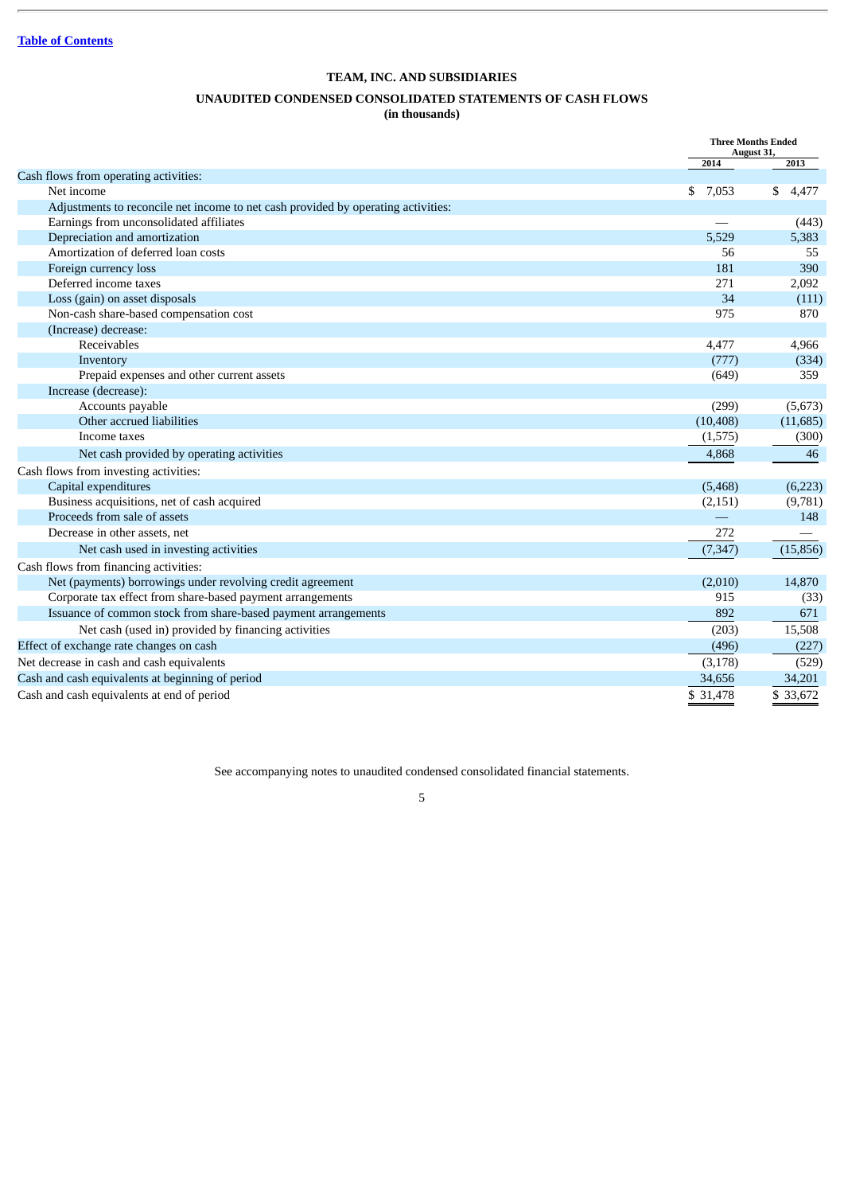# **TEAM, INC. AND SUBSIDIARIES**

# **UNAUDITED CONDENSED CONSOLIDATED STATEMENTS OF CASH FLOWS**

**(in thousands)**

<span id="page-5-0"></span>

| 2014<br>2013<br>Cash flows from operating activities:<br>Net income<br>\$<br>7,053<br>\$<br>4,477<br>Adjustments to reconcile net income to net cash provided by operating activities:<br>Earnings from unconsolidated affiliates<br>(443)<br>Depreciation and amortization<br>5,383<br>5,529<br>Amortization of deferred loan costs<br>56<br>55<br>181<br>390<br>Foreign currency loss<br>Deferred income taxes<br>271<br>2,092<br>34<br>Loss (gain) on asset disposals<br>(111)<br>Non-cash share-based compensation cost<br>975<br>870<br>(Increase) decrease:<br>Receivables<br>4,477<br>4,966<br>(777)<br>(334)<br>Inventory<br>Prepaid expenses and other current assets<br>359<br>(649)<br>Increase (decrease):<br>Accounts payable<br>(299)<br>(5,673)<br>Other accrued liabilities<br>(10, 408)<br>(11,685)<br>Income taxes<br>(300)<br>(1,575)<br>Net cash provided by operating activities<br>4,868<br>46<br>Cash flows from investing activities:<br>Capital expenditures<br>(5,468)<br>(6,223)<br>Business acquisitions, net of cash acquired<br>(9,781)<br>(2, 151)<br>Proceeds from sale of assets<br>148<br>Decrease in other assets, net<br>272<br>Net cash used in investing activities<br>(15, 856)<br>(7, 347)<br>Cash flows from financing activities:<br>Net (payments) borrowings under revolving credit agreement<br>14,870<br>(2,010)<br>Corporate tax effect from share-based payment arrangements<br>915<br>(33)<br>Issuance of common stock from share-based payment arrangements<br>892<br>671 |                                                     |       | <b>Three Months Ended</b><br>August 31, |
|-----------------------------------------------------------------------------------------------------------------------------------------------------------------------------------------------------------------------------------------------------------------------------------------------------------------------------------------------------------------------------------------------------------------------------------------------------------------------------------------------------------------------------------------------------------------------------------------------------------------------------------------------------------------------------------------------------------------------------------------------------------------------------------------------------------------------------------------------------------------------------------------------------------------------------------------------------------------------------------------------------------------------------------------------------------------------------------------------------------------------------------------------------------------------------------------------------------------------------------------------------------------------------------------------------------------------------------------------------------------------------------------------------------------------------------------------------------------------------------------------------------------------------|-----------------------------------------------------|-------|-----------------------------------------|
|                                                                                                                                                                                                                                                                                                                                                                                                                                                                                                                                                                                                                                                                                                                                                                                                                                                                                                                                                                                                                                                                                                                                                                                                                                                                                                                                                                                                                                                                                                                             |                                                     |       |                                         |
|                                                                                                                                                                                                                                                                                                                                                                                                                                                                                                                                                                                                                                                                                                                                                                                                                                                                                                                                                                                                                                                                                                                                                                                                                                                                                                                                                                                                                                                                                                                             |                                                     |       |                                         |
|                                                                                                                                                                                                                                                                                                                                                                                                                                                                                                                                                                                                                                                                                                                                                                                                                                                                                                                                                                                                                                                                                                                                                                                                                                                                                                                                                                                                                                                                                                                             |                                                     |       |                                         |
|                                                                                                                                                                                                                                                                                                                                                                                                                                                                                                                                                                                                                                                                                                                                                                                                                                                                                                                                                                                                                                                                                                                                                                                                                                                                                                                                                                                                                                                                                                                             |                                                     |       |                                         |
|                                                                                                                                                                                                                                                                                                                                                                                                                                                                                                                                                                                                                                                                                                                                                                                                                                                                                                                                                                                                                                                                                                                                                                                                                                                                                                                                                                                                                                                                                                                             |                                                     |       |                                         |
|                                                                                                                                                                                                                                                                                                                                                                                                                                                                                                                                                                                                                                                                                                                                                                                                                                                                                                                                                                                                                                                                                                                                                                                                                                                                                                                                                                                                                                                                                                                             |                                                     |       |                                         |
|                                                                                                                                                                                                                                                                                                                                                                                                                                                                                                                                                                                                                                                                                                                                                                                                                                                                                                                                                                                                                                                                                                                                                                                                                                                                                                                                                                                                                                                                                                                             |                                                     |       |                                         |
|                                                                                                                                                                                                                                                                                                                                                                                                                                                                                                                                                                                                                                                                                                                                                                                                                                                                                                                                                                                                                                                                                                                                                                                                                                                                                                                                                                                                                                                                                                                             |                                                     |       |                                         |
|                                                                                                                                                                                                                                                                                                                                                                                                                                                                                                                                                                                                                                                                                                                                                                                                                                                                                                                                                                                                                                                                                                                                                                                                                                                                                                                                                                                                                                                                                                                             |                                                     |       |                                         |
|                                                                                                                                                                                                                                                                                                                                                                                                                                                                                                                                                                                                                                                                                                                                                                                                                                                                                                                                                                                                                                                                                                                                                                                                                                                                                                                                                                                                                                                                                                                             |                                                     |       |                                         |
|                                                                                                                                                                                                                                                                                                                                                                                                                                                                                                                                                                                                                                                                                                                                                                                                                                                                                                                                                                                                                                                                                                                                                                                                                                                                                                                                                                                                                                                                                                                             |                                                     |       |                                         |
|                                                                                                                                                                                                                                                                                                                                                                                                                                                                                                                                                                                                                                                                                                                                                                                                                                                                                                                                                                                                                                                                                                                                                                                                                                                                                                                                                                                                                                                                                                                             |                                                     |       |                                         |
|                                                                                                                                                                                                                                                                                                                                                                                                                                                                                                                                                                                                                                                                                                                                                                                                                                                                                                                                                                                                                                                                                                                                                                                                                                                                                                                                                                                                                                                                                                                             |                                                     |       |                                         |
|                                                                                                                                                                                                                                                                                                                                                                                                                                                                                                                                                                                                                                                                                                                                                                                                                                                                                                                                                                                                                                                                                                                                                                                                                                                                                                                                                                                                                                                                                                                             |                                                     |       |                                         |
|                                                                                                                                                                                                                                                                                                                                                                                                                                                                                                                                                                                                                                                                                                                                                                                                                                                                                                                                                                                                                                                                                                                                                                                                                                                                                                                                                                                                                                                                                                                             |                                                     |       |                                         |
|                                                                                                                                                                                                                                                                                                                                                                                                                                                                                                                                                                                                                                                                                                                                                                                                                                                                                                                                                                                                                                                                                                                                                                                                                                                                                                                                                                                                                                                                                                                             |                                                     |       |                                         |
|                                                                                                                                                                                                                                                                                                                                                                                                                                                                                                                                                                                                                                                                                                                                                                                                                                                                                                                                                                                                                                                                                                                                                                                                                                                                                                                                                                                                                                                                                                                             |                                                     |       |                                         |
|                                                                                                                                                                                                                                                                                                                                                                                                                                                                                                                                                                                                                                                                                                                                                                                                                                                                                                                                                                                                                                                                                                                                                                                                                                                                                                                                                                                                                                                                                                                             |                                                     |       |                                         |
|                                                                                                                                                                                                                                                                                                                                                                                                                                                                                                                                                                                                                                                                                                                                                                                                                                                                                                                                                                                                                                                                                                                                                                                                                                                                                                                                                                                                                                                                                                                             |                                                     |       |                                         |
|                                                                                                                                                                                                                                                                                                                                                                                                                                                                                                                                                                                                                                                                                                                                                                                                                                                                                                                                                                                                                                                                                                                                                                                                                                                                                                                                                                                                                                                                                                                             |                                                     |       |                                         |
|                                                                                                                                                                                                                                                                                                                                                                                                                                                                                                                                                                                                                                                                                                                                                                                                                                                                                                                                                                                                                                                                                                                                                                                                                                                                                                                                                                                                                                                                                                                             |                                                     |       |                                         |
|                                                                                                                                                                                                                                                                                                                                                                                                                                                                                                                                                                                                                                                                                                                                                                                                                                                                                                                                                                                                                                                                                                                                                                                                                                                                                                                                                                                                                                                                                                                             |                                                     |       |                                         |
|                                                                                                                                                                                                                                                                                                                                                                                                                                                                                                                                                                                                                                                                                                                                                                                                                                                                                                                                                                                                                                                                                                                                                                                                                                                                                                                                                                                                                                                                                                                             |                                                     |       |                                         |
|                                                                                                                                                                                                                                                                                                                                                                                                                                                                                                                                                                                                                                                                                                                                                                                                                                                                                                                                                                                                                                                                                                                                                                                                                                                                                                                                                                                                                                                                                                                             |                                                     |       |                                         |
|                                                                                                                                                                                                                                                                                                                                                                                                                                                                                                                                                                                                                                                                                                                                                                                                                                                                                                                                                                                                                                                                                                                                                                                                                                                                                                                                                                                                                                                                                                                             |                                                     |       |                                         |
|                                                                                                                                                                                                                                                                                                                                                                                                                                                                                                                                                                                                                                                                                                                                                                                                                                                                                                                                                                                                                                                                                                                                                                                                                                                                                                                                                                                                                                                                                                                             |                                                     |       |                                         |
|                                                                                                                                                                                                                                                                                                                                                                                                                                                                                                                                                                                                                                                                                                                                                                                                                                                                                                                                                                                                                                                                                                                                                                                                                                                                                                                                                                                                                                                                                                                             |                                                     |       |                                         |
|                                                                                                                                                                                                                                                                                                                                                                                                                                                                                                                                                                                                                                                                                                                                                                                                                                                                                                                                                                                                                                                                                                                                                                                                                                                                                                                                                                                                                                                                                                                             |                                                     |       |                                         |
|                                                                                                                                                                                                                                                                                                                                                                                                                                                                                                                                                                                                                                                                                                                                                                                                                                                                                                                                                                                                                                                                                                                                                                                                                                                                                                                                                                                                                                                                                                                             |                                                     |       |                                         |
|                                                                                                                                                                                                                                                                                                                                                                                                                                                                                                                                                                                                                                                                                                                                                                                                                                                                                                                                                                                                                                                                                                                                                                                                                                                                                                                                                                                                                                                                                                                             |                                                     |       |                                         |
|                                                                                                                                                                                                                                                                                                                                                                                                                                                                                                                                                                                                                                                                                                                                                                                                                                                                                                                                                                                                                                                                                                                                                                                                                                                                                                                                                                                                                                                                                                                             | Net cash (used in) provided by financing activities | (203) | 15,508                                  |
| Effect of exchange rate changes on cash<br>(496)<br>(227)                                                                                                                                                                                                                                                                                                                                                                                                                                                                                                                                                                                                                                                                                                                                                                                                                                                                                                                                                                                                                                                                                                                                                                                                                                                                                                                                                                                                                                                                   |                                                     |       |                                         |
| Net decrease in cash and cash equivalents<br>(3, 178)<br>(529)                                                                                                                                                                                                                                                                                                                                                                                                                                                                                                                                                                                                                                                                                                                                                                                                                                                                                                                                                                                                                                                                                                                                                                                                                                                                                                                                                                                                                                                              |                                                     |       |                                         |
| Cash and cash equivalents at beginning of period<br>34,656<br>34,201                                                                                                                                                                                                                                                                                                                                                                                                                                                                                                                                                                                                                                                                                                                                                                                                                                                                                                                                                                                                                                                                                                                                                                                                                                                                                                                                                                                                                                                        |                                                     |       |                                         |
| Cash and cash equivalents at end of period<br>\$33,672<br>\$ 31,478                                                                                                                                                                                                                                                                                                                                                                                                                                                                                                                                                                                                                                                                                                                                                                                                                                                                                                                                                                                                                                                                                                                                                                                                                                                                                                                                                                                                                                                         |                                                     |       |                                         |

See accompanying notes to unaudited condensed consolidated financial statements.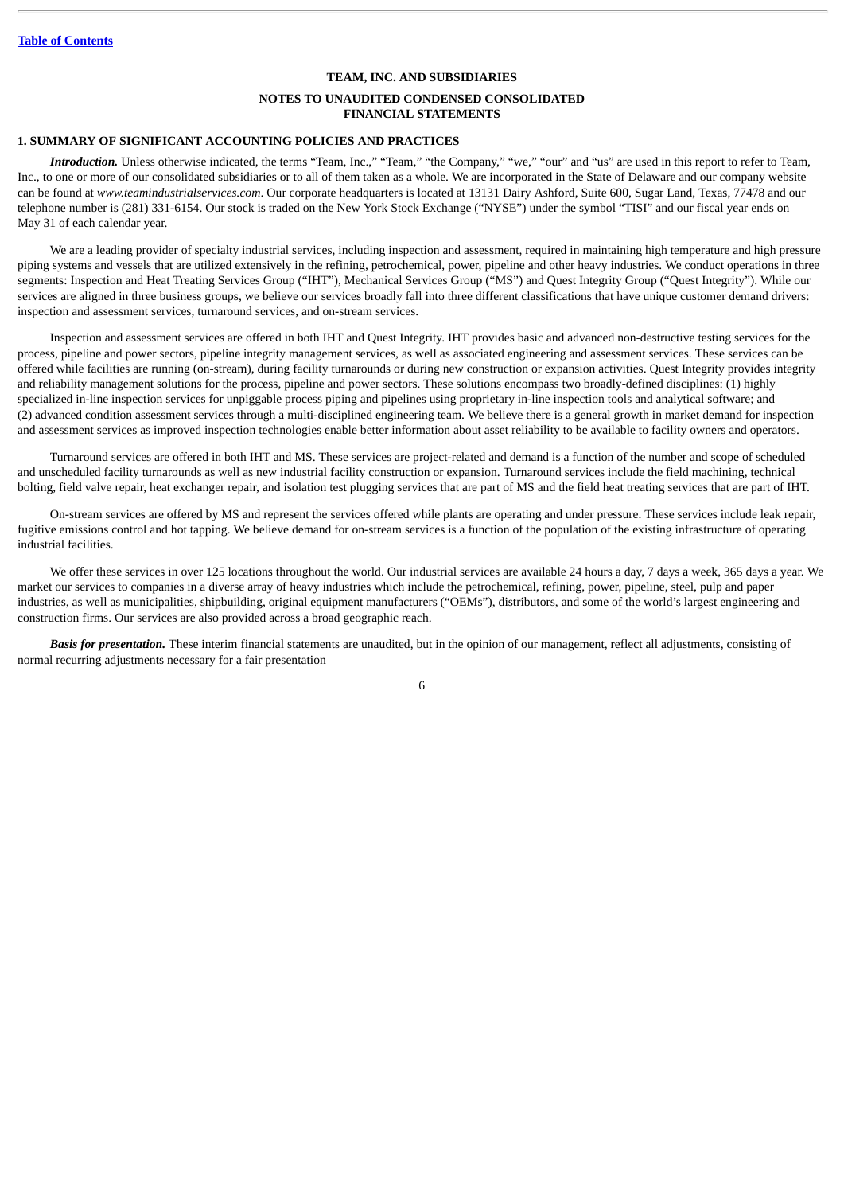# **TEAM, INC. AND SUBSIDIARIES NOTES TO UNAUDITED CONDENSED CONSOLIDATED FINANCIAL STATEMENTS**

## <span id="page-6-0"></span>**1. SUMMARY OF SIGNIFICANT ACCOUNTING POLICIES AND PRACTICES**

*Introduction.* Unless otherwise indicated, the terms "Team, Inc.," "Team," "the Company," "we," "our" and "us" are used in this report to refer to Team, Inc., to one or more of our consolidated subsidiaries or to all of them taken as a whole. We are incorporated in the State of Delaware and our company website can be found at *www.teamindustrialservices.com*. Our corporate headquarters is located at 13131 Dairy Ashford, Suite 600, Sugar Land, Texas, 77478 and our telephone number is (281) 331-6154. Our stock is traded on the New York Stock Exchange ("NYSE") under the symbol "TISI" and our fiscal year ends on May 31 of each calendar year.

We are a leading provider of specialty industrial services, including inspection and assessment, required in maintaining high temperature and high pressure piping systems and vessels that are utilized extensively in the refining, petrochemical, power, pipeline and other heavy industries. We conduct operations in three segments: Inspection and Heat Treating Services Group ("IHT"), Mechanical Services Group ("MS") and Quest Integrity Group ("Quest Integrity"). While our services are aligned in three business groups, we believe our services broadly fall into three different classifications that have unique customer demand drivers: inspection and assessment services, turnaround services, and on-stream services.

Inspection and assessment services are offered in both IHT and Quest Integrity. IHT provides basic and advanced non-destructive testing services for the process, pipeline and power sectors, pipeline integrity management services, as well as associated engineering and assessment services. These services can be offered while facilities are running (on-stream), during facility turnarounds or during new construction or expansion activities. Quest Integrity provides integrity and reliability management solutions for the process, pipeline and power sectors. These solutions encompass two broadly-defined disciplines: (1) highly specialized in-line inspection services for unpiggable process piping and pipelines using proprietary in-line inspection tools and analytical software; and (2) advanced condition assessment services through a multi-disciplined engineering team. We believe there is a general growth in market demand for inspection and assessment services as improved inspection technologies enable better information about asset reliability to be available to facility owners and operators.

Turnaround services are offered in both IHT and MS. These services are project-related and demand is a function of the number and scope of scheduled and unscheduled facility turnarounds as well as new industrial facility construction or expansion. Turnaround services include the field machining, technical bolting, field valve repair, heat exchanger repair, and isolation test plugging services that are part of MS and the field heat treating services that are part of IHT.

On-stream services are offered by MS and represent the services offered while plants are operating and under pressure. These services include leak repair, fugitive emissions control and hot tapping. We believe demand for on-stream services is a function of the population of the existing infrastructure of operating industrial facilities.

We offer these services in over 125 locations throughout the world. Our industrial services are available 24 hours a day, 7 days a week, 365 days a year. We market our services to companies in a diverse array of heavy industries which include the petrochemical, refining, power, pipeline, steel, pulp and paper industries, as well as municipalities, shipbuilding, original equipment manufacturers ("OEMs"), distributors, and some of the world's largest engineering and construction firms. Our services are also provided across a broad geographic reach.

*Basis for presentation.* These interim financial statements are unaudited, but in the opinion of our management, reflect all adjustments, consisting of normal recurring adjustments necessary for a fair presentation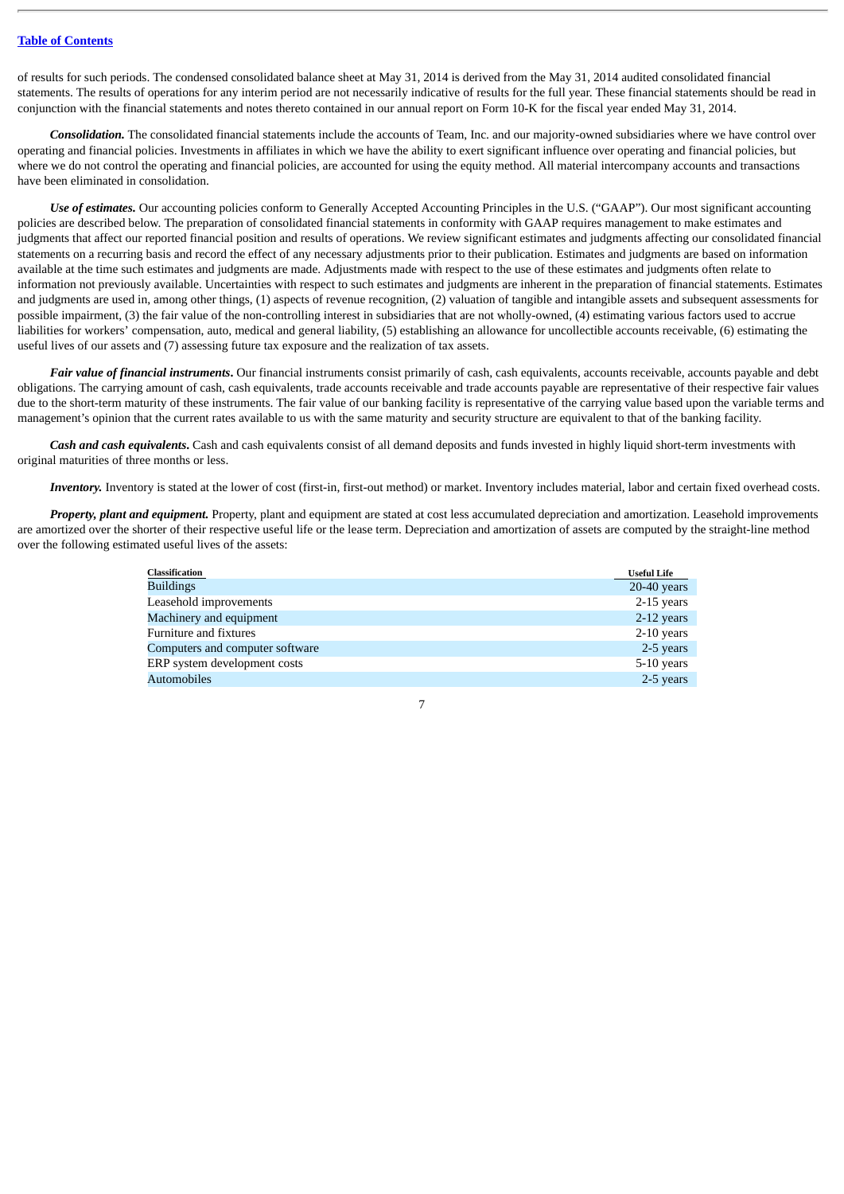of results for such periods. The condensed consolidated balance sheet at May 31, 2014 is derived from the May 31, 2014 audited consolidated financial statements. The results of operations for any interim period are not necessarily indicative of results for the full year. These financial statements should be read in conjunction with the financial statements and notes thereto contained in our annual report on Form 10-K for the fiscal year ended May 31, 2014.

*Consolidation.* The consolidated financial statements include the accounts of Team, Inc. and our majority-owned subsidiaries where we have control over operating and financial policies. Investments in affiliates in which we have the ability to exert significant influence over operating and financial policies, but where we do not control the operating and financial policies, are accounted for using the equity method. All material intercompany accounts and transactions have been eliminated in consolidation.

*Use of estimates.* Our accounting policies conform to Generally Accepted Accounting Principles in the U.S. ("GAAP"). Our most significant accounting policies are described below. The preparation of consolidated financial statements in conformity with GAAP requires management to make estimates and judgments that affect our reported financial position and results of operations. We review significant estimates and judgments affecting our consolidated financial statements on a recurring basis and record the effect of any necessary adjustments prior to their publication. Estimates and judgments are based on information available at the time such estimates and judgments are made. Adjustments made with respect to the use of these estimates and judgments often relate to information not previously available. Uncertainties with respect to such estimates and judgments are inherent in the preparation of financial statements. Estimates and judgments are used in, among other things, (1) aspects of revenue recognition, (2) valuation of tangible and intangible assets and subsequent assessments for possible impairment, (3) the fair value of the non-controlling interest in subsidiaries that are not wholly-owned, (4) estimating various factors used to accrue liabilities for workers' compensation, auto, medical and general liability, (5) establishing an allowance for uncollectible accounts receivable, (6) estimating the useful lives of our assets and (7) assessing future tax exposure and the realization of tax assets.

*Fair value of financial instruments*. Our financial instruments consist primarily of cash, cash equivalents, accounts receivable, accounts payable and debt obligations. The carrying amount of cash, cash equivalents, trade accounts receivable and trade accounts payable are representative of their respective fair values due to the short-term maturity of these instruments. The fair value of our banking facility is representative of the carrying value based upon the variable terms and management's opinion that the current rates available to us with the same maturity and security structure are equivalent to that of the banking facility.

*Cash and cash equivalents***.** Cash and cash equivalents consist of all demand deposits and funds invested in highly liquid short-term investments with original maturities of three months or less.

*Inventory.* Inventory is stated at the lower of cost (first-in, first-out method) or market. Inventory includes material, labor and certain fixed overhead costs.

*Property, plant and equipment.* Property, plant and equipment are stated at cost less accumulated depreciation and amortization. Leasehold improvements are amortized over the shorter of their respective useful life or the lease term. Depreciation and amortization of assets are computed by the straight-line method over the following estimated useful lives of the assets:

| <b>Classification</b>           | <b>Useful Life</b> |
|---------------------------------|--------------------|
| <b>Buildings</b>                | $20-40$ years      |
| Leasehold improvements          | 2-15 years         |
| Machinery and equipment         | 2-12 years         |
| Furniture and fixtures          | 2-10 years         |
| Computers and computer software | 2-5 years          |
| ERP system development costs    | 5-10 years         |
| <b>Automobiles</b>              | 2-5 years          |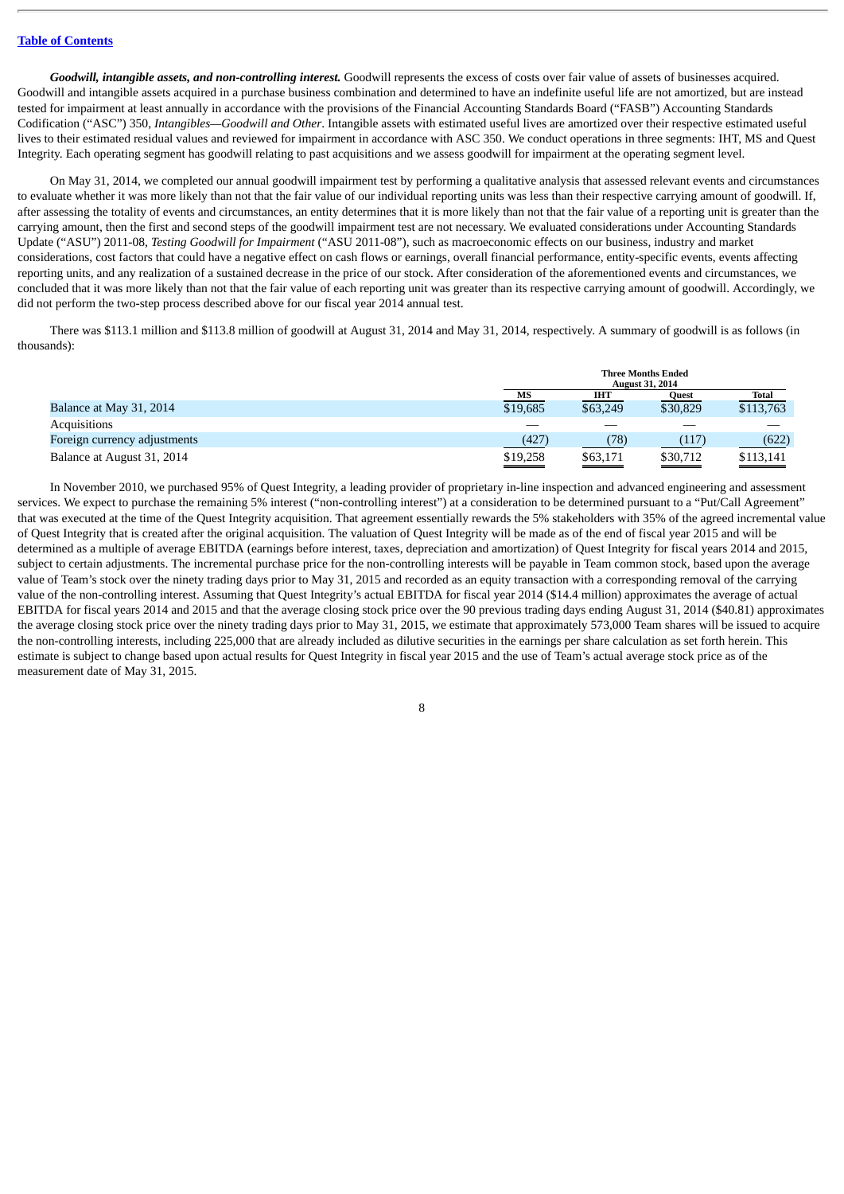*Goodwill, intangible assets, and non-controlling interest.* Goodwill represents the excess of costs over fair value of assets of businesses acquired. Goodwill and intangible assets acquired in a purchase business combination and determined to have an indefinite useful life are not amortized, but are instead tested for impairment at least annually in accordance with the provisions of the Financial Accounting Standards Board ("FASB") Accounting Standards Codification ("ASC") 350, *Intangibles—Goodwill and Other*. Intangible assets with estimated useful lives are amortized over their respective estimated useful lives to their estimated residual values and reviewed for impairment in accordance with ASC 350. We conduct operations in three segments: IHT, MS and Quest Integrity. Each operating segment has goodwill relating to past acquisitions and we assess goodwill for impairment at the operating segment level.

On May 31, 2014, we completed our annual goodwill impairment test by performing a qualitative analysis that assessed relevant events and circumstances to evaluate whether it was more likely than not that the fair value of our individual reporting units was less than their respective carrying amount of goodwill. If, after assessing the totality of events and circumstances, an entity determines that it is more likely than not that the fair value of a reporting unit is greater than the carrying amount, then the first and second steps of the goodwill impairment test are not necessary. We evaluated considerations under Accounting Standards Update ("ASU") 2011-08, *Testing Goodwill for Impairment* ("ASU 2011-08"), such as macroeconomic effects on our business, industry and market considerations, cost factors that could have a negative effect on cash flows or earnings, overall financial performance, entity-specific events, events affecting reporting units, and any realization of a sustained decrease in the price of our stock. After consideration of the aforementioned events and circumstances, we concluded that it was more likely than not that the fair value of each reporting unit was greater than its respective carrying amount of goodwill. Accordingly, we did not perform the two-step process described above for our fiscal year 2014 annual test.

There was \$113.1 million and \$113.8 million of goodwill at August 31, 2014 and May 31, 2014, respectively. A summary of goodwill is as follows (in thousands):

|                              | <b>Three Months Ended</b><br><b>August 31, 2014</b> |          |                                                        |           |
|------------------------------|-----------------------------------------------------|----------|--------------------------------------------------------|-----------|
|                              | MS                                                  | IHT      | Quest                                                  | Total     |
| Balance at May 31, 2014      | \$19,685                                            | \$63,249 | \$30,829                                               | \$113,763 |
| Acquisitions                 |                                                     | ___      | __                                                     |           |
| Foreign currency adjustments | (427)                                               | (78)     | (117)                                                  | (622)     |
| Balance at August 31, 2014   | \$19,258<br>$\equiv$                                | \$63,171 | \$30,712<br>$\qquad \qquad \overbrace{\qquad \qquad }$ | \$113,141 |

In November 2010, we purchased 95% of Quest Integrity, a leading provider of proprietary in-line inspection and advanced engineering and assessment services. We expect to purchase the remaining 5% interest ("non-controlling interest") at a consideration to be determined pursuant to a "Put/Call Agreement" that was executed at the time of the Quest Integrity acquisition. That agreement essentially rewards the 5% stakeholders with 35% of the agreed incremental value of Quest Integrity that is created after the original acquisition. The valuation of Quest Integrity will be made as of the end of fiscal year 2015 and will be determined as a multiple of average EBITDA (earnings before interest, taxes, depreciation and amortization) of Quest Integrity for fiscal years 2014 and 2015, subject to certain adjustments. The incremental purchase price for the non-controlling interests will be payable in Team common stock, based upon the average value of Team's stock over the ninety trading days prior to May 31, 2015 and recorded as an equity transaction with a corresponding removal of the carrying value of the non-controlling interest. Assuming that Quest Integrity's actual EBITDA for fiscal year 2014 (\$14.4 million) approximates the average of actual EBITDA for fiscal years 2014 and 2015 and that the average closing stock price over the 90 previous trading days ending August 31, 2014 (\$40.81) approximates the average closing stock price over the ninety trading days prior to May 31, 2015, we estimate that approximately 573,000 Team shares will be issued to acquire the non-controlling interests, including 225,000 that are already included as dilutive securities in the earnings per share calculation as set forth herein. This estimate is subject to change based upon actual results for Quest Integrity in fiscal year 2015 and the use of Team's actual average stock price as of the measurement date of May 31, 2015.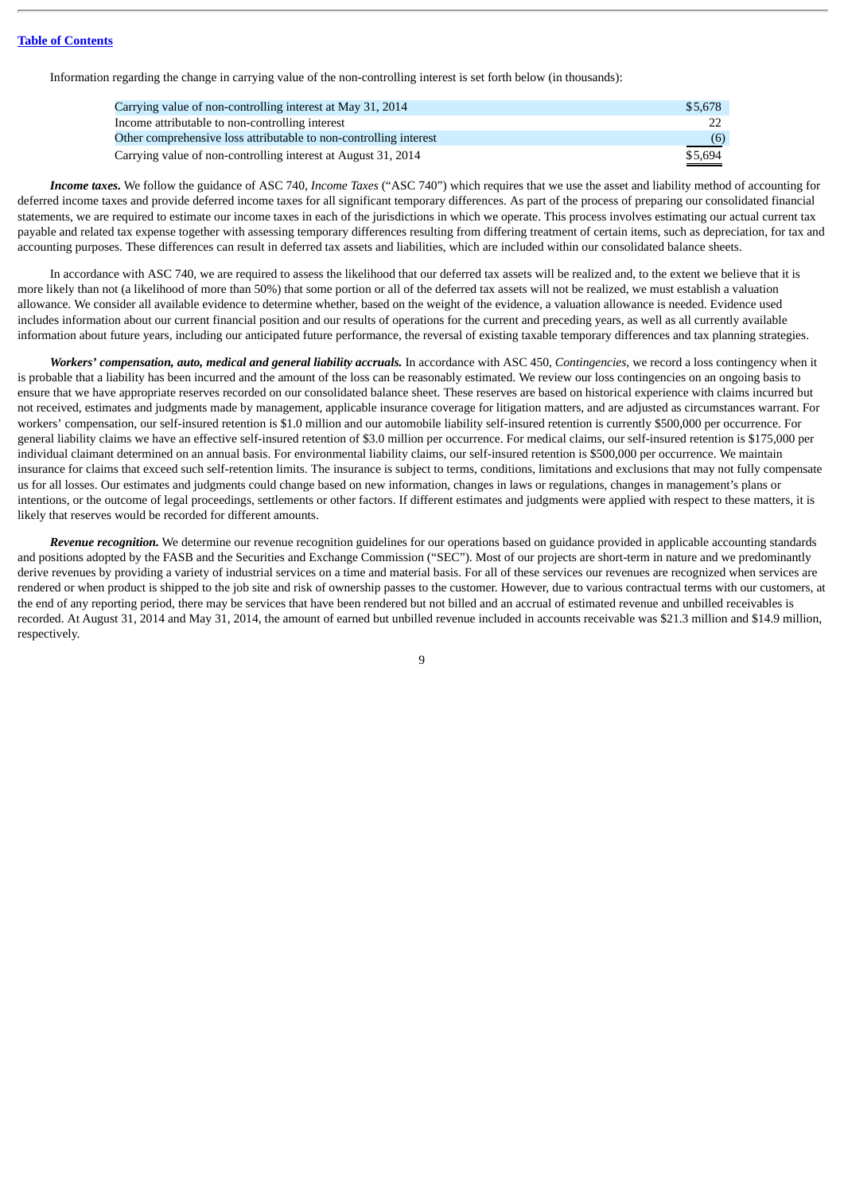Information regarding the change in carrying value of the non-controlling interest is set forth below (in thousands):

| Carrying value of non-controlling interest at May 31, 2014        | \$5.678 |
|-------------------------------------------------------------------|---------|
| Income attributable to non-controlling interest                   |         |
| Other comprehensive loss attributable to non-controlling interest | (6)     |
| Carrying value of non-controlling interest at August 31, 2014     | \$5.694 |

*Income taxes.* We follow the guidance of ASC 740, *Income Taxes* ("ASC 740") which requires that we use the asset and liability method of accounting for deferred income taxes and provide deferred income taxes for all significant temporary differences. As part of the process of preparing our consolidated financial statements, we are required to estimate our income taxes in each of the jurisdictions in which we operate. This process involves estimating our actual current tax payable and related tax expense together with assessing temporary differences resulting from differing treatment of certain items, such as depreciation, for tax and accounting purposes. These differences can result in deferred tax assets and liabilities, which are included within our consolidated balance sheets.

In accordance with ASC 740, we are required to assess the likelihood that our deferred tax assets will be realized and, to the extent we believe that it is more likely than not (a likelihood of more than 50%) that some portion or all of the deferred tax assets will not be realized, we must establish a valuation allowance. We consider all available evidence to determine whether, based on the weight of the evidence, a valuation allowance is needed. Evidence used includes information about our current financial position and our results of operations for the current and preceding years, as well as all currently available information about future years, including our anticipated future performance, the reversal of existing taxable temporary differences and tax planning strategies.

*Workers' compensation, auto, medical and general liability accruals.* In accordance with ASC 450, *Contingencies*, we record a loss contingency when it is probable that a liability has been incurred and the amount of the loss can be reasonably estimated. We review our loss contingencies on an ongoing basis to ensure that we have appropriate reserves recorded on our consolidated balance sheet. These reserves are based on historical experience with claims incurred but not received, estimates and judgments made by management, applicable insurance coverage for litigation matters, and are adjusted as circumstances warrant. For workers' compensation, our self-insured retention is \$1.0 million and our automobile liability self-insured retention is currently \$500,000 per occurrence. For general liability claims we have an effective self-insured retention of \$3.0 million per occurrence. For medical claims, our self-insured retention is \$175,000 per individual claimant determined on an annual basis. For environmental liability claims, our self-insured retention is \$500,000 per occurrence. We maintain insurance for claims that exceed such self-retention limits. The insurance is subject to terms, conditions, limitations and exclusions that may not fully compensate us for all losses. Our estimates and judgments could change based on new information, changes in laws or regulations, changes in management's plans or intentions, or the outcome of legal proceedings, settlements or other factors. If different estimates and judgments were applied with respect to these matters, it is likely that reserves would be recorded for different amounts.

*Revenue recognition.* We determine our revenue recognition guidelines for our operations based on guidance provided in applicable accounting standards and positions adopted by the FASB and the Securities and Exchange Commission ("SEC"). Most of our projects are short-term in nature and we predominantly derive revenues by providing a variety of industrial services on a time and material basis. For all of these services our revenues are recognized when services are rendered or when product is shipped to the job site and risk of ownership passes to the customer. However, due to various contractual terms with our customers, at the end of any reporting period, there may be services that have been rendered but not billed and an accrual of estimated revenue and unbilled receivables is recorded. At August 31, 2014 and May 31, 2014, the amount of earned but unbilled revenue included in accounts receivable was \$21.3 million and \$14.9 million, respectively.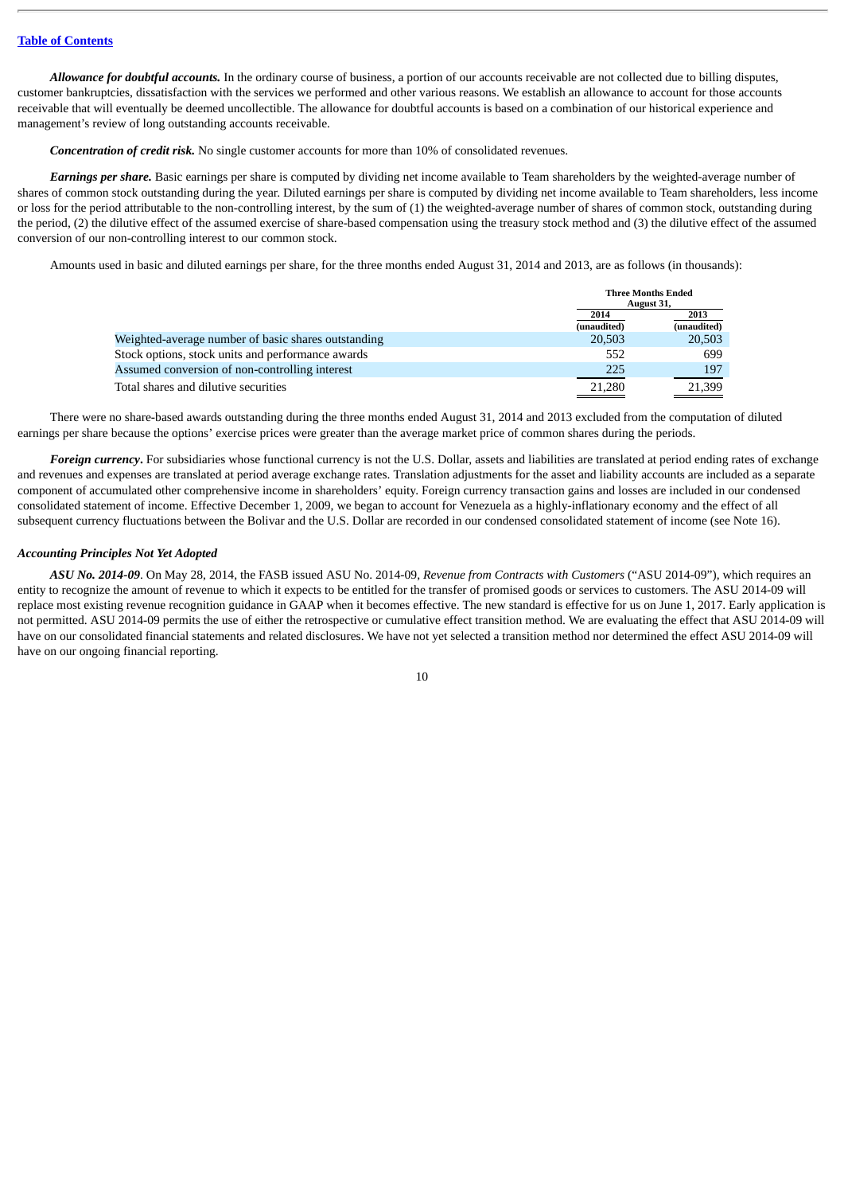*Allowance for doubtful accounts.* In the ordinary course of business, a portion of our accounts receivable are not collected due to billing disputes, customer bankruptcies, dissatisfaction with the services we performed and other various reasons. We establish an allowance to account for those accounts receivable that will eventually be deemed uncollectible. The allowance for doubtful accounts is based on a combination of our historical experience and management's review of long outstanding accounts receivable.

*Concentration of credit risk.* No single customer accounts for more than 10% of consolidated revenues.

*Earnings per share.* Basic earnings per share is computed by dividing net income available to Team shareholders by the weighted-average number of shares of common stock outstanding during the year. Diluted earnings per share is computed by dividing net income available to Team shareholders, less income or loss for the period attributable to the non-controlling interest, by the sum of (1) the weighted-average number of shares of common stock, outstanding during the period, (2) the dilutive effect of the assumed exercise of share-based compensation using the treasury stock method and (3) the dilutive effect of the assumed conversion of our non-controlling interest to our common stock.

Amounts used in basic and diluted earnings per share, for the three months ended August 31, 2014 and 2013, are as follows (in thousands):

|                                                     |             | <b>Three Months Ended</b> |  |
|-----------------------------------------------------|-------------|---------------------------|--|
|                                                     |             | August 31,                |  |
|                                                     | 2014        | 2013                      |  |
|                                                     | (unaudited) | (unaudited)               |  |
| Weighted-average number of basic shares outstanding | 20,503      | 20,503                    |  |
| Stock options, stock units and performance awards   | 552         | 699                       |  |
| Assumed conversion of non-controlling interest      | 225         | 197                       |  |
| Total shares and dilutive securities                | 21.280      | 21.399                    |  |

There were no share-based awards outstanding during the three months ended August 31, 2014 and 2013 excluded from the computation of diluted earnings per share because the options' exercise prices were greater than the average market price of common shares during the periods.

*Foreign currency***.** For subsidiaries whose functional currency is not the U.S. Dollar, assets and liabilities are translated at period ending rates of exchange and revenues and expenses are translated at period average exchange rates. Translation adjustments for the asset and liability accounts are included as a separate component of accumulated other comprehensive income in shareholders' equity. Foreign currency transaction gains and losses are included in our condensed consolidated statement of income. Effective December 1, 2009, we began to account for Venezuela as a highly-inflationary economy and the effect of all subsequent currency fluctuations between the Bolivar and the U.S. Dollar are recorded in our condensed consolidated statement of income (see Note 16).

### *Accounting Principles Not Yet Adopted*

*ASU No. 2014-09*. On May 28, 2014, the FASB issued ASU No. 2014-09, *Revenue from Contracts with Customers* ("ASU 2014-09"), which requires an entity to recognize the amount of revenue to which it expects to be entitled for the transfer of promised goods or services to customers. The ASU 2014-09 will replace most existing revenue recognition guidance in GAAP when it becomes effective. The new standard is effective for us on June 1, 2017. Early application is not permitted. ASU 2014-09 permits the use of either the retrospective or cumulative effect transition method. We are evaluating the effect that ASU 2014-09 will have on our consolidated financial statements and related disclosures. We have not yet selected a transition method nor determined the effect ASU 2014-09 will have on our ongoing financial reporting.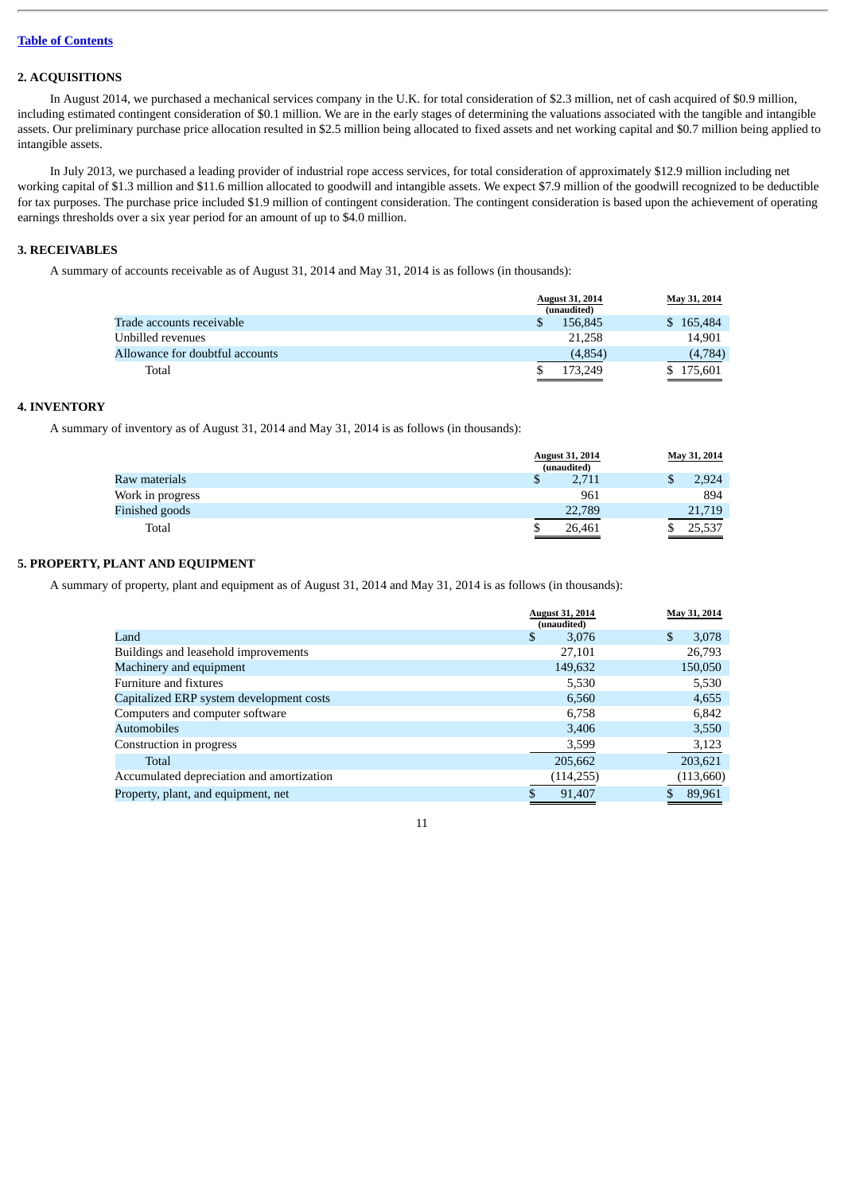## **2. ACQUISITIONS**

In August 2014, we purchased a mechanical services company in the U.K. for total consideration of \$2.3 million, net of cash acquired of \$0.9 million, including estimated contingent consideration of \$0.1 million. We are in the early stages of determining the valuations associated with the tangible and intangible assets. Our preliminary purchase price allocation resulted in \$2.5 million being allocated to fixed assets and net working capital and \$0.7 million being applied to intangible assets.

In July 2013, we purchased a leading provider of industrial rope access services, for total consideration of approximately \$12.9 million including net working capital of \$1.3 million and \$11.6 million allocated to goodwill and intangible assets. We expect \$7.9 million of the goodwill recognized to be deductible for tax purposes. The purchase price included \$1.9 million of contingent consideration. The contingent consideration is based upon the achievement of operating earnings thresholds over a six year period for an amount of up to \$4.0 million.

### **3. RECEIVABLES**

A summary of accounts receivable as of August 31, 2014 and May 31, 2014 is as follows (in thousands):

|                                 | <b>August 31, 2014</b><br>(unaudited) | May 31, 2014 |
|---------------------------------|---------------------------------------|--------------|
| Trade accounts receivable       | 156.845                               | \$165,484    |
| Unbilled revenues               | 21,258                                | 14.901       |
| Allowance for doubtful accounts | (4, 854)                              | (4,784)      |
| Total                           | 173.249                               | 175.601      |

## **4. INVENTORY**

A summary of inventory as of August 31, 2014 and May 31, 2014 is as follows (in thousands):

|                  | <b>August 31, 2014</b><br>(unaudited) | May 31, 2014 |
|------------------|---------------------------------------|--------------|
| Raw materials    | 2,711<br>\$                           | 2,924<br>\$  |
| Work in progress | 961                                   | 894          |
| Finished goods   | 22,789                                | 21,719       |
| Total            | 26.461                                | 25,537       |

## **5. PROPERTY, PLANT AND EQUIPMENT**

A summary of property, plant and equipment as of August 31, 2014 and May 31, 2014 is as follows (in thousands):

|                                           | <b>August 31, 2014</b><br>(unaudited) | May 31, 2014          |
|-------------------------------------------|---------------------------------------|-----------------------|
| Land                                      | \$<br>3,076                           | $\mathbf{s}$<br>3,078 |
| Buildings and leasehold improvements      | 27,101                                | 26,793                |
| Machinery and equipment                   | 149,632                               | 150,050               |
| Furniture and fixtures                    | 5,530                                 | 5,530                 |
| Capitalized ERP system development costs  | 6,560                                 | 4,655                 |
| Computers and computer software           | 6.758                                 | 6,842                 |
| <b>Automobiles</b>                        | 3,406                                 | 3,550                 |
| Construction in progress                  | 3,599                                 | 3,123                 |
| Total                                     | 205,662                               | 203,621               |
| Accumulated depreciation and amortization | (114, 255)                            | (113, 660)            |
| Property, plant, and equipment, net       | 91,407                                | 89,961                |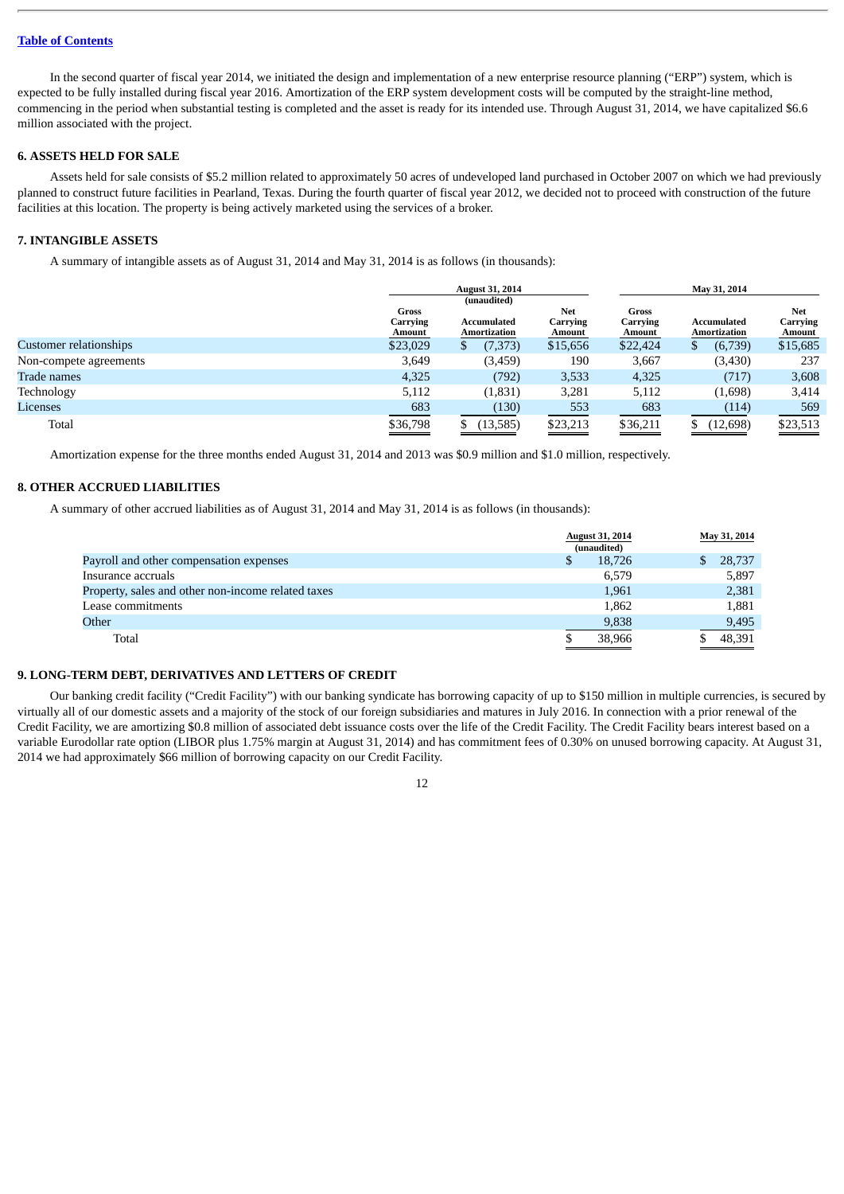In the second quarter of fiscal year 2014, we initiated the design and implementation of a new enterprise resource planning ("ERP") system, which is expected to be fully installed during fiscal year 2016. Amortization of the ERP system development costs will be computed by the straight-line method, commencing in the period when substantial testing is completed and the asset is ready for its intended use. Through August 31, 2014, we have capitalized \$6.6 million associated with the project.

#### **6. ASSETS HELD FOR SALE**

Assets held for sale consists of \$5.2 million related to approximately 50 acres of undeveloped land purchased in October 2007 on which we had previously planned to construct future facilities in Pearland, Texas. During the fourth quarter of fiscal year 2012, we decided not to proceed with construction of the future facilities at this location. The property is being actively marketed using the services of a broker.

## **7. INTANGIBLE ASSETS**

A summary of intangible assets as of August 31, 2014 and May 31, 2014 is as follows (in thousands):

|                               |                                    | <b>August 31, 2014</b>                     |                                  |                             | May 31, 2014                              |                                  |  |  |
|-------------------------------|------------------------------------|--------------------------------------------|----------------------------------|-----------------------------|-------------------------------------------|----------------------------------|--|--|
|                               | Gross<br>Carrying<br><b>Amount</b> | (unaudited)<br>Accumulated<br>Amortization | <b>Net</b><br>Carrying<br>Amount | Gross<br>Carrying<br>Amount | <b>Accumulated</b><br><b>Amortization</b> | <b>Net</b><br>Carrying<br>Amount |  |  |
| <b>Customer relationships</b> | \$23,029                           | (7, 373)<br>п.                             | \$15,656                         | \$22,424                    | (6,739)<br>S.                             | \$15,685                         |  |  |
| Non-compete agreements        | 3,649                              | (3,459)                                    | 190                              | 3,667                       | (3,430)                                   | 237                              |  |  |
| Trade names                   | 4,325                              | (792)                                      | 3,533                            | 4,325                       | (717)                                     | 3,608                            |  |  |
| Technology                    | 5,112                              | (1,831)                                    | 3,281                            | 5,112                       | (1,698)                                   | 3,414                            |  |  |
| Licenses                      | 683                                | (130)                                      | 553                              | 683                         | (114)                                     | 569                              |  |  |
| Total                         | \$36,798                           | (13,585)                                   | \$23,213                         | \$36,211                    | (12, 698)                                 | \$23,513                         |  |  |

Amortization expense for the three months ended August 31, 2014 and 2013 was \$0.9 million and \$1.0 million, respectively.

## **8. OTHER ACCRUED LIABILITIES**

A summary of other accrued liabilities as of August 31, 2014 and May 31, 2014 is as follows (in thousands):

|                                                    |   | <b>August 31, 2014</b><br>(unaudited) | May 31, 2014 |
|----------------------------------------------------|---|---------------------------------------|--------------|
| Payroll and other compensation expenses            | S | 18,726                                | 28,737       |
| Insurance accruals                                 |   | 6,579                                 | 5,897        |
| Property, sales and other non-income related taxes |   | 1,961                                 | 2,381        |
| Lease commitments                                  |   | 1,862                                 | 1,881        |
| Other                                              |   | 9,838                                 | 9,495        |
| Total                                              |   | 38,966                                | 48,391       |

#### **9. LONG-TERM DEBT, DERIVATIVES AND LETTERS OF CREDIT**

Our banking credit facility ("Credit Facility") with our banking syndicate has borrowing capacity of up to \$150 million in multiple currencies, is secured by virtually all of our domestic assets and a majority of the stock of our foreign subsidiaries and matures in July 2016. In connection with a prior renewal of the Credit Facility, we are amortizing \$0.8 million of associated debt issuance costs over the life of the Credit Facility. The Credit Facility bears interest based on a variable Eurodollar rate option (LIBOR plus 1.75% margin at August 31, 2014) and has commitment fees of 0.30% on unused borrowing capacity. At August 31, 2014 we had approximately \$66 million of borrowing capacity on our Credit Facility.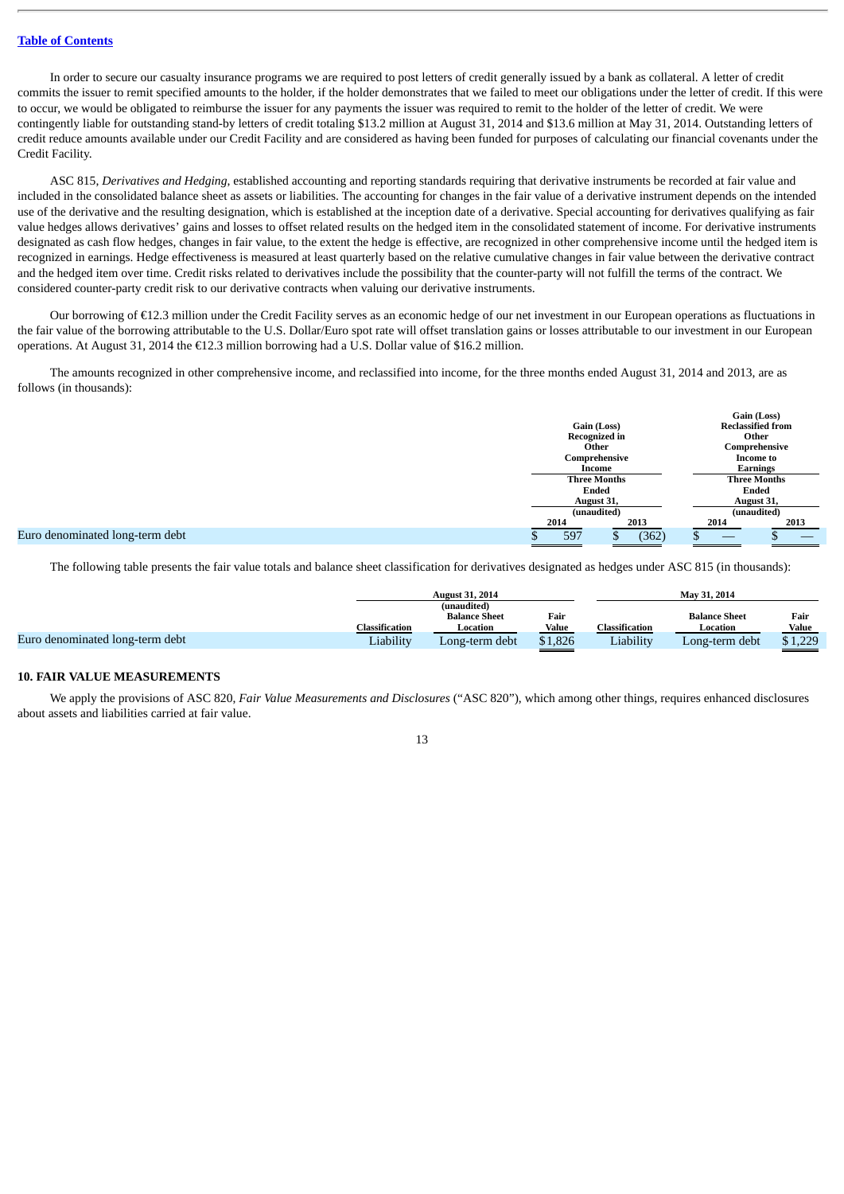In order to secure our casualty insurance programs we are required to post letters of credit generally issued by a bank as collateral. A letter of credit commits the issuer to remit specified amounts to the holder, if the holder demonstrates that we failed to meet our obligations under the letter of credit. If this were to occur, we would be obligated to reimburse the issuer for any payments the issuer was required to remit to the holder of the letter of credit. We were contingently liable for outstanding stand-by letters of credit totaling \$13.2 million at August 31, 2014 and \$13.6 million at May 31, 2014. Outstanding letters of credit reduce amounts available under our Credit Facility and are considered as having been funded for purposes of calculating our financial covenants under the Credit Facility.

ASC 815, *Derivatives and Hedging*, established accounting and reporting standards requiring that derivative instruments be recorded at fair value and included in the consolidated balance sheet as assets or liabilities. The accounting for changes in the fair value of a derivative instrument depends on the intended use of the derivative and the resulting designation, which is established at the inception date of a derivative. Special accounting for derivatives qualifying as fair value hedges allows derivatives' gains and losses to offset related results on the hedged item in the consolidated statement of income. For derivative instruments designated as cash flow hedges, changes in fair value, to the extent the hedge is effective, are recognized in other comprehensive income until the hedged item is recognized in earnings. Hedge effectiveness is measured at least quarterly based on the relative cumulative changes in fair value between the derivative contract and the hedged item over time. Credit risks related to derivatives include the possibility that the counter-party will not fulfill the terms of the contract. We considered counter-party credit risk to our derivative contracts when valuing our derivative instruments.

Our borrowing of €12.3 million under the Credit Facility serves as an economic hedge of our net investment in our European operations as fluctuations in the fair value of the borrowing attributable to the U.S. Dollar/Euro spot rate will offset translation gains or losses attributable to our investment in our European operations. At August 31, 2014 the €12.3 million borrowing had a U.S. Dollar value of \$16.2 million.

The amounts recognized in other comprehensive income, and reclassified into income, for the three months ended August 31, 2014 and 2013, are as follows (in thousands):

|                                 |                                                          |       |                               | Gain (Loss)                       |  |  |  |
|---------------------------------|----------------------------------------------------------|-------|-------------------------------|-----------------------------------|--|--|--|
|                                 | Gain (Loss)                                              |       | <b>Reclassified from</b>      |                                   |  |  |  |
|                                 | <b>Recognized in</b><br>Other<br>Comprehensive<br>Income |       |                               | Other                             |  |  |  |
|                                 |                                                          |       |                               | Comprehensive<br><b>Income to</b> |  |  |  |
|                                 |                                                          |       |                               |                                   |  |  |  |
|                                 |                                                          |       |                               | <b>Earnings</b>                   |  |  |  |
|                                 | <b>Three Months</b>                                      |       | <b>Three Months</b>           |                                   |  |  |  |
|                                 | Ended                                                    |       | Ended<br>August 31,           |                                   |  |  |  |
|                                 | August 31,                                               |       |                               |                                   |  |  |  |
|                                 | (unaudited)                                              |       |                               | (unaudited)                       |  |  |  |
| 2014                            |                                                          | 2013  | 2014                          | 2013                              |  |  |  |
| Euro denominated long-term debt | 597                                                      | (362) | $\overbrace{\phantom{aaaaa}}$ | __                                |  |  |  |

The following table presents the fair value totals and balance sheet classification for derivatives designated as hedges under ASC 815 (in thousands):

|                                 |                | <b>August 31, 2014</b> |         |                       | May 31, 2014         |         |  |  |
|---------------------------------|----------------|------------------------|---------|-----------------------|----------------------|---------|--|--|
|                                 |                | (unaudited)            |         |                       |                      |         |  |  |
|                                 |                | <b>Balance Sheet</b>   | Fair    |                       | <b>Balance Sheet</b> | Fair    |  |  |
|                                 | Classification | Location               | Value   | <b>Classification</b> | Location             | Value   |  |  |
| Euro denominated long-term debt | Liability      | Long-term debt         | \$1,826 | Liability             | Long-term debt       | \$1,229 |  |  |

#### **10. FAIR VALUE MEASUREMENTS**

We apply the provisions of ASC 820, *Fair Value Measurements and Disclosures* ("ASC 820"), which among other things, requires enhanced disclosures about assets and liabilities carried at fair value.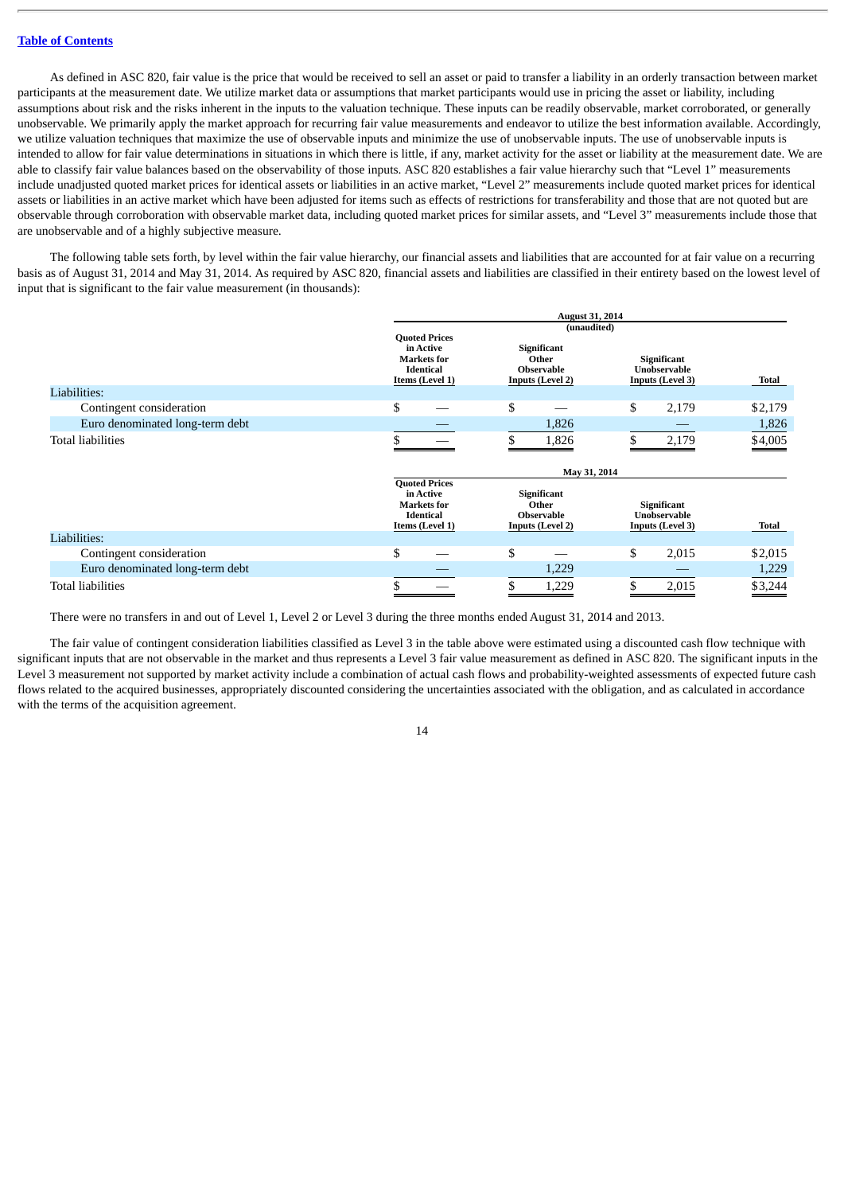As defined in ASC 820, fair value is the price that would be received to sell an asset or paid to transfer a liability in an orderly transaction between market participants at the measurement date. We utilize market data or assumptions that market participants would use in pricing the asset or liability, including assumptions about risk and the risks inherent in the inputs to the valuation technique. These inputs can be readily observable, market corroborated, or generally unobservable. We primarily apply the market approach for recurring fair value measurements and endeavor to utilize the best information available. Accordingly, we utilize valuation techniques that maximize the use of observable inputs and minimize the use of unobservable inputs. The use of unobservable inputs is intended to allow for fair value determinations in situations in which there is little, if any, market activity for the asset or liability at the measurement date. We are able to classify fair value balances based on the observability of those inputs. ASC 820 establishes a fair value hierarchy such that "Level 1" measurements include unadjusted quoted market prices for identical assets or liabilities in an active market, "Level 2" measurements include quoted market prices for identical assets or liabilities in an active market which have been adjusted for items such as effects of restrictions for transferability and those that are not quoted but are observable through corroboration with observable market data, including quoted market prices for similar assets, and "Level 3" measurements include those that are unobservable and of a highly subjective measure.

The following table sets forth, by level within the fair value hierarchy, our financial assets and liabilities that are accounted for at fair value on a recurring basis as of August 31, 2014 and May 31, 2014. As required by ASC 820, financial assets and liabilities are classified in their entirety based on the lowest level of input that is significant to the fair value measurement (in thousands):

|                                 | <b>August 31, 2014</b>                                                                         |                                                                                            |                                                               |                       |  |  |
|---------------------------------|------------------------------------------------------------------------------------------------|--------------------------------------------------------------------------------------------|---------------------------------------------------------------|-----------------------|--|--|
|                                 | <b>Quoted Prices</b><br>in Active<br><b>Markets</b> for<br><b>Identical</b><br>Items (Level 1) | (unaudited)<br><b>Significant</b><br>Other<br><b>Observable</b><br><b>Inputs (Level 2)</b> | Significant<br>Unobservable<br><b>Inputs (Level 3)</b>        | Total                 |  |  |
| Liabilities:                    |                                                                                                |                                                                                            |                                                               |                       |  |  |
| Contingent consideration        | \$                                                                                             | \$                                                                                         | \$<br>2,179                                                   | \$2,179               |  |  |
| Euro denominated long-term debt |                                                                                                | 1,826                                                                                      |                                                               | 1,826                 |  |  |
| <b>Total liabilities</b>        |                                                                                                | 1,826                                                                                      | 2,179                                                         | $\underline{\$4,005}$ |  |  |
|                                 |                                                                                                | May 31, 2014                                                                               |                                                               |                       |  |  |
|                                 | <b>Quoted Prices</b><br>in Active<br><b>Markets</b> for<br><b>Identical</b><br>Items (Level 1) | <b>Significant</b><br>Other<br><b>Observable</b><br><b>Inputs (Level 2)</b>                | Significant<br><b>Unobservable</b><br><b>Inputs (Level 3)</b> | Total                 |  |  |
| Liabilities:                    |                                                                                                |                                                                                            |                                                               |                       |  |  |
| Contingent consideration        | \$                                                                                             | \$                                                                                         | \$<br>2,015                                                   | \$2,015               |  |  |
| Euro denominated long-term debt |                                                                                                | 1,229                                                                                      |                                                               | 1,229                 |  |  |
| <b>Total liabilities</b>        |                                                                                                |                                                                                            | 2,015                                                         | \$3,244               |  |  |

There were no transfers in and out of Level 1, Level 2 or Level 3 during the three months ended August 31, 2014 and 2013.

The fair value of contingent consideration liabilities classified as Level 3 in the table above were estimated using a discounted cash flow technique with significant inputs that are not observable in the market and thus represents a Level 3 fair value measurement as defined in ASC 820. The significant inputs in the Level 3 measurement not supported by market activity include a combination of actual cash flows and probability-weighted assessments of expected future cash flows related to the acquired businesses, appropriately discounted considering the uncertainties associated with the obligation, and as calculated in accordance with the terms of the acquisition agreement.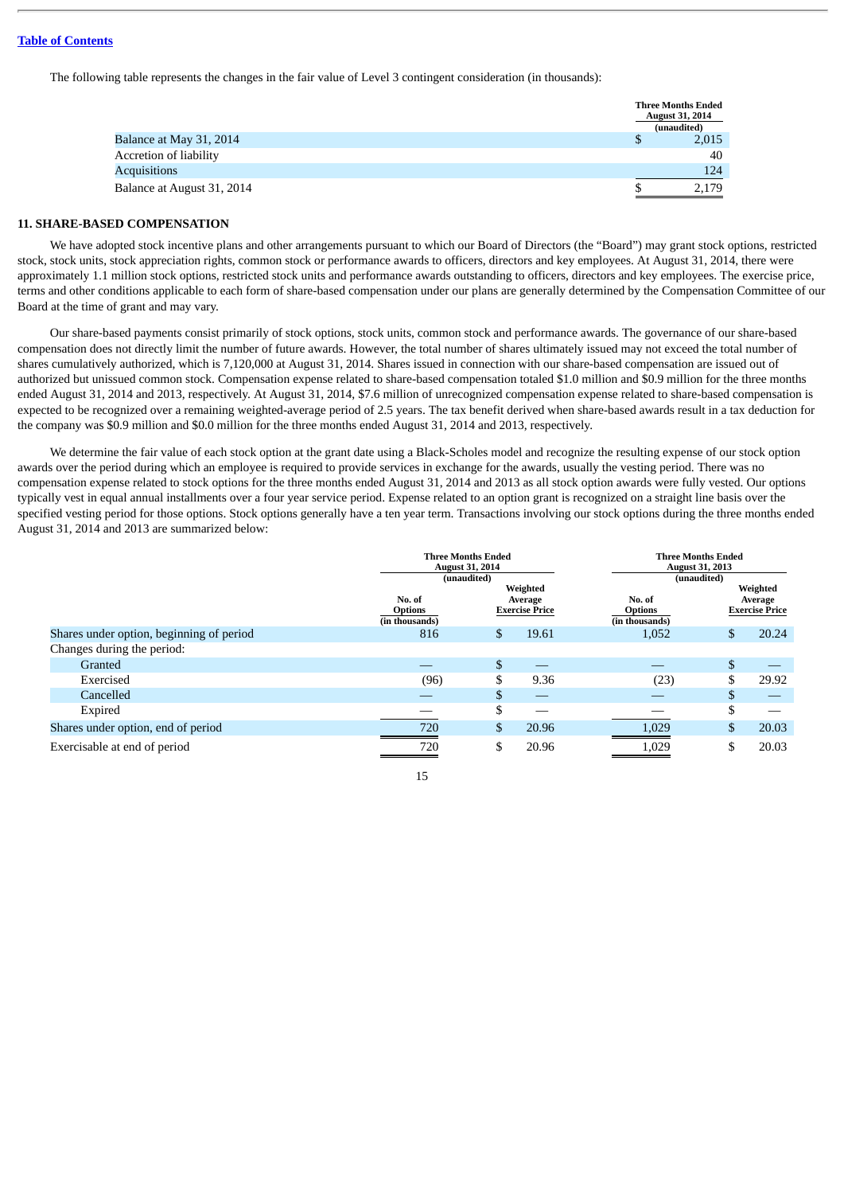The following table represents the changes in the fair value of Level 3 contingent consideration (in thousands):

|                            | <b>Three Months Ended</b><br><b>August 31, 2014</b><br>(unaudited) |
|----------------------------|--------------------------------------------------------------------|
| Balance at May 31, 2014    | 2,015                                                              |
| Accretion of liability     | 40                                                                 |
| <b>Acquisitions</b>        | 124                                                                |
| Balance at August 31, 2014 | 2.179                                                              |

## **11. SHARE-BASED COMPENSATION**

We have adopted stock incentive plans and other arrangements pursuant to which our Board of Directors (the "Board") may grant stock options, restricted stock, stock units, stock appreciation rights, common stock or performance awards to officers, directors and key employees. At August 31, 2014, there were approximately 1.1 million stock options, restricted stock units and performance awards outstanding to officers, directors and key employees. The exercise price, terms and other conditions applicable to each form of share-based compensation under our plans are generally determined by the Compensation Committee of our Board at the time of grant and may vary.

Our share-based payments consist primarily of stock options, stock units, common stock and performance awards. The governance of our share-based compensation does not directly limit the number of future awards. However, the total number of shares ultimately issued may not exceed the total number of shares cumulatively authorized, which is 7,120,000 at August 31, 2014. Shares issued in connection with our share-based compensation are issued out of authorized but unissued common stock. Compensation expense related to share-based compensation totaled \$1.0 million and \$0.9 million for the three months ended August 31, 2014 and 2013, respectively. At August 31, 2014, \$7.6 million of unrecognized compensation expense related to share-based compensation is expected to be recognized over a remaining weighted-average period of 2.5 years. The tax benefit derived when share-based awards result in a tax deduction for the company was \$0.9 million and \$0.0 million for the three months ended August 31, 2014 and 2013, respectively.

We determine the fair value of each stock option at the grant date using a Black-Scholes model and recognize the resulting expense of our stock option awards over the period during which an employee is required to provide services in exchange for the awards, usually the vesting period. There was no compensation expense related to stock options for the three months ended August 31, 2014 and 2013 as all stock option awards were fully vested. Our options typically vest in equal annual installments over a four year service period. Expense related to an option grant is recognized on a straight line basis over the specified vesting period for those options. Stock options generally have a ten year term. Transactions involving our stock options during the three months ended August 31, 2014 and 2013 are summarized below:

|                                          |                                            | <b>Three Months Ended</b><br><b>August 31, 2014</b><br>(unaudited)<br>Weighted |       |                                            | <b>Three Months Ended</b><br><b>August 31, 2013</b><br>(unaudited)<br>Weighted |                                  |  |  |
|------------------------------------------|--------------------------------------------|--------------------------------------------------------------------------------|-------|--------------------------------------------|--------------------------------------------------------------------------------|----------------------------------|--|--|
|                                          | No. of<br><b>Options</b><br>(in thousands) | Average<br><b>Exercise Price</b>                                               |       | No. of<br><b>Options</b><br>(in thousands) |                                                                                | Average<br><b>Exercise Price</b> |  |  |
| Shares under option, beginning of period | 816                                        | \$                                                                             | 19.61 | 1,052                                      | $\mathfrak{S}$                                                                 | 20.24                            |  |  |
| Changes during the period:               |                                            |                                                                                |       |                                            |                                                                                |                                  |  |  |
| Granted                                  |                                            | \$                                                                             |       |                                            | \$                                                                             |                                  |  |  |
| Exercised                                | (96)                                       | \$                                                                             | 9.36  | (23)                                       | \$                                                                             | 29.92                            |  |  |
| Cancelled                                |                                            | \$.                                                                            |       |                                            | \$                                                                             |                                  |  |  |
| Expired                                  |                                            |                                                                                |       |                                            | \$                                                                             |                                  |  |  |
| Shares under option, end of period       | 720                                        | \$                                                                             | 20.96 | 1,029                                      | \$                                                                             | 20.03                            |  |  |
| Exercisable at end of period             | 720                                        |                                                                                | 20.96 | 1,029                                      | \$                                                                             | 20.03                            |  |  |

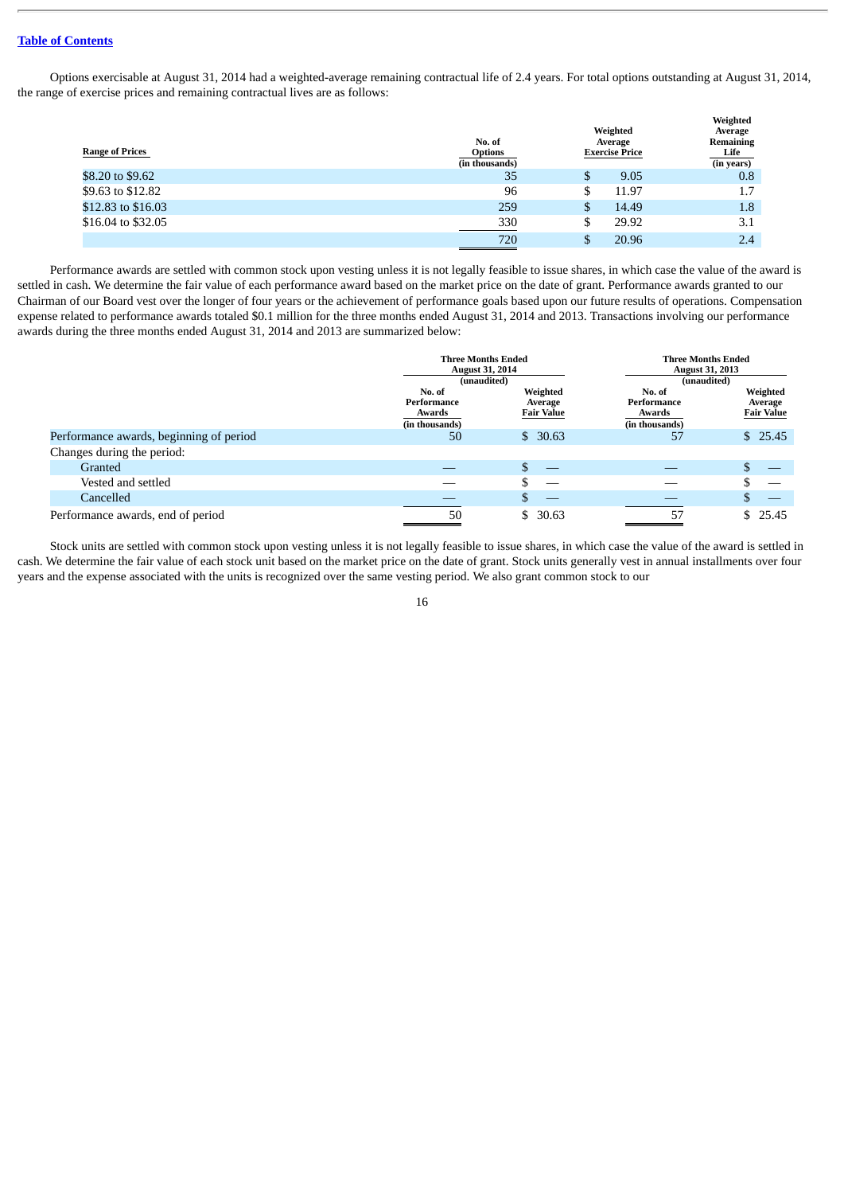Options exercisable at August 31, 2014 had a weighted-average remaining contractual life of 2.4 years. For total options outstanding at August 31, 2014, the range of exercise prices and remaining contractual lives are as follows:

| <b>Range of Prices</b> | No. of<br><b>Options</b><br>(in thousands) | Weighted<br>Average<br><b>Exercise Price</b> | Weighted<br>Average<br>Remaining<br>Life<br>(in years) |
|------------------------|--------------------------------------------|----------------------------------------------|--------------------------------------------------------|
| \$8.20 to \$9.62       | 35                                         | \$<br>9.05                                   | 0.8                                                    |
| \$9.63 to \$12.82      | 96                                         | \$<br>11.97                                  | 1.7                                                    |
| \$12.83 to \$16.03     | 259                                        | \$<br>14.49                                  | 1.8                                                    |
| \$16.04 to \$32.05     | 330                                        | \$<br>29.92                                  | 3.1                                                    |
|                        | 720                                        | \$<br>20.96                                  | 2.4                                                    |

Performance awards are settled with common stock upon vesting unless it is not legally feasible to issue shares, in which case the value of the award is settled in cash. We determine the fair value of each performance award based on the market price on the date of grant. Performance awards granted to our Chairman of our Board vest over the longer of four years or the achievement of performance goals based upon our future results of operations. Compensation expense related to performance awards totaled \$0.1 million for the three months ended August 31, 2014 and 2013. Transactions involving our performance awards during the three months ended August 31, 2014 and 2013 are summarized below:

|                                         | <b>Three Months Ended</b><br><b>August 31, 2014</b><br>(unaudited) |                                          | <b>Three Months Ended</b><br><b>August 31, 2013</b><br>(unaudited) |                                          |  |
|-----------------------------------------|--------------------------------------------------------------------|------------------------------------------|--------------------------------------------------------------------|------------------------------------------|--|
|                                         | No. of<br>Performance<br>Awards<br>(in thousands)                  | Weighted<br>Average<br><b>Fair Value</b> | No. of<br>Performance<br>Awards<br>(in thousands)                  | Weighted<br>Average<br><b>Fair Value</b> |  |
| Performance awards, beginning of period | 50                                                                 | \$30.63                                  | 57                                                                 | \$25.45                                  |  |
| Changes during the period:              |                                                                    |                                          |                                                                    |                                          |  |
| Granted                                 |                                                                    |                                          |                                                                    |                                          |  |
| Vested and settled                      |                                                                    |                                          |                                                                    |                                          |  |
| Cancelled                               |                                                                    |                                          |                                                                    |                                          |  |
| Performance awards, end of period       | 50                                                                 | \$30.63                                  | 57                                                                 | \$25.45                                  |  |

Stock units are settled with common stock upon vesting unless it is not legally feasible to issue shares, in which case the value of the award is settled in cash. We determine the fair value of each stock unit based on the market price on the date of grant. Stock units generally vest in annual installments over four years and the expense associated with the units is recognized over the same vesting period. We also grant common stock to our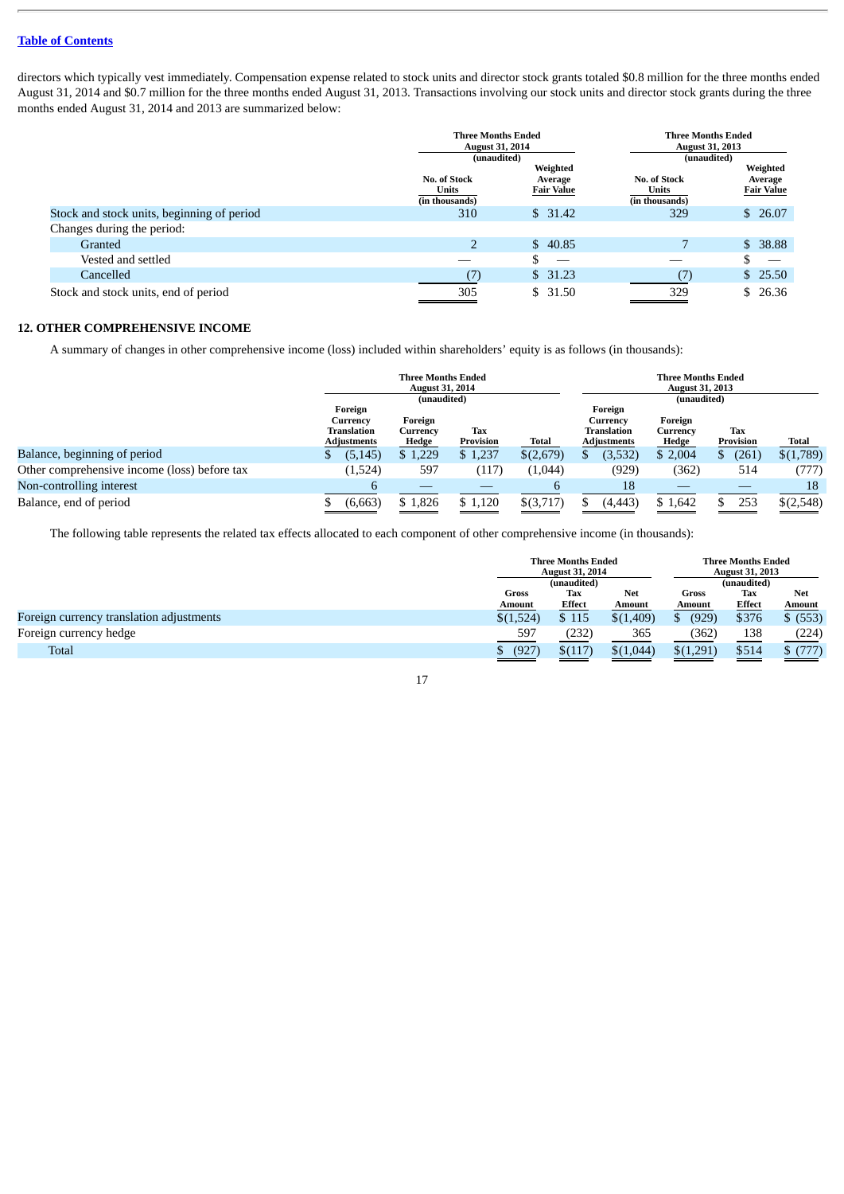directors which typically vest immediately. Compensation expense related to stock units and director stock grants totaled \$0.8 million for the three months ended August 31, 2014 and \$0.7 million for the three months ended August 31, 2013. Transactions involving our stock units and director stock grants during the three months ended August 31, 2014 and 2013 are summarized below:

|                                            | <b>Three Months Ended</b><br><b>August 31, 2014</b><br>(unaudited) |                                          |                                         | <b>Three Months Ended</b><br><b>August 31, 2013</b><br>(unaudited) |  |  |
|--------------------------------------------|--------------------------------------------------------------------|------------------------------------------|-----------------------------------------|--------------------------------------------------------------------|--|--|
|                                            | No. of Stock<br>Units<br>(in thousands)                            | Weighted<br>Average<br><b>Fair Value</b> | No. of Stock<br>Units<br>(in thousands) | Weighted<br>Average<br><b>Fair Value</b>                           |  |  |
| Stock and stock units, beginning of period | 310                                                                | \$31.42                                  | 329                                     | \$26.07                                                            |  |  |
| Changes during the period:                 |                                                                    |                                          |                                         |                                                                    |  |  |
| Granted                                    | $\overline{2}$                                                     | \$40.85                                  |                                         | \$38.88                                                            |  |  |
| Vested and settled                         |                                                                    |                                          |                                         | $\overline{\phantom{m}}$                                           |  |  |
| Cancelled                                  | (7`                                                                | \$31.23                                  | (7)                                     | \$25.50                                                            |  |  |
| Stock and stock units, end of period       | 305                                                                | \$31.50                                  | 329                                     | \$26.36                                                            |  |  |

## **12. OTHER COMPREHENSIVE INCOME**

A summary of changes in other comprehensive income (loss) included within shareholders' equity is as follows (in thousands):

|                                              | <b>Three Months Ended</b><br><b>August 31, 2014</b> |                        |                         | <b>Three Months Ended</b><br><b>August 31, 2013</b> |                                   |                        |                  |           |  |
|----------------------------------------------|-----------------------------------------------------|------------------------|-------------------------|-----------------------------------------------------|-----------------------------------|------------------------|------------------|-----------|--|
|                                              | Foreign<br>Currency                                 | (unaudited)<br>Foreign |                         | Foreign<br>Currency                                 |                                   | (unaudited)<br>Foreign |                  |           |  |
|                                              | Translation<br><b>Adjustments</b>                   | Currencv<br>Hedge      | <b>Tax</b><br>Provision | Total                                               | Translation<br><b>Adjustments</b> | Currency<br>Hedge      | Tax<br>Provision | Total     |  |
| Balance, beginning of period                 | (5, 145)<br>D                                       | \$1,229                | \$1,237                 | \$(2,679)                                           | (3,532)<br>S.                     | \$2,004                | (261)            | \$(1,789) |  |
| Other comprehensive income (loss) before tax | (1,524)                                             | 597                    | (117)                   | (1,044)                                             | (929)                             | (362)                  | 514              | (777)     |  |
| Non-controlling interest                     | h                                                   |                        |                         |                                                     | 18                                |                        |                  | 18        |  |
| Balance, end of period                       | (6,663)                                             | \$1,826                | \$1,120                 | $$$ (3,717)                                         | (4, 443)                          | \$1,642                | 253              | \$(2,548) |  |

The following table represents the related tax effects allocated to each component of other comprehensive income (in thousands):

| <b>Three Months Ended</b><br><b>August 31, 2014</b> |         |            | <b>Three Months Ended</b><br><b>August 31, 2013</b> |             |               |  |
|-----------------------------------------------------|---------|------------|-----------------------------------------------------|-------------|---------------|--|
| (unaudited)                                         |         |            |                                                     | (unaudited) |               |  |
| Gross                                               | Tax     | <b>Net</b> | Gross                                               | Tax         | <b>Net</b>    |  |
| Amount                                              | Effect  | Amount     | <b>Amount</b>                                       | Effect      | <b>Amount</b> |  |
| \$(1,524)                                           | \$115   | \$(1,409)  | (929)<br>D                                          | \$376       | \$ (553)      |  |
| 597                                                 | (232)   | 365        | (362                                                | 138         | (224)         |  |
| (927)                                               | \$(117) | \$(1,044)  | \$(1,291)                                           | \$514       | \$(777)       |  |
|                                                     |         |            |                                                     |             |               |  |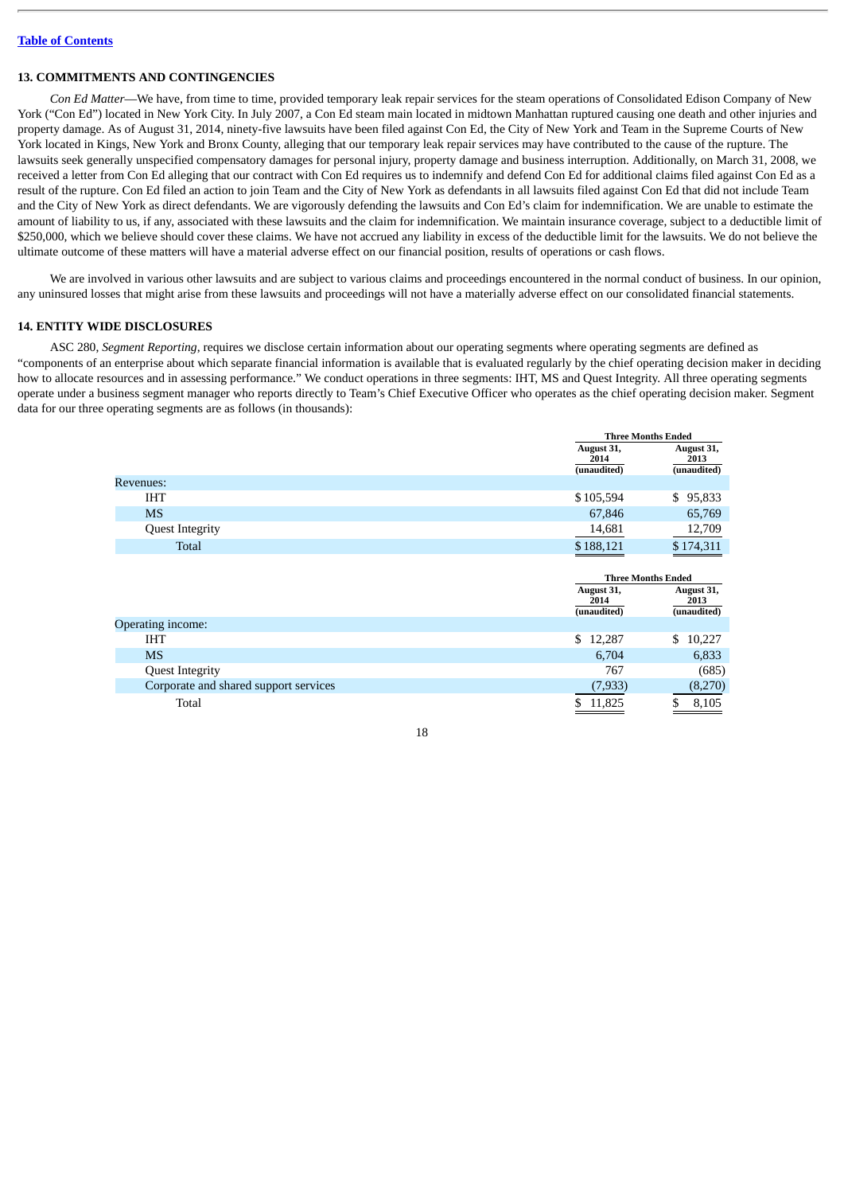#### **13. COMMITMENTS AND CONTINGENCIES**

*Con Ed Matter*—We have, from time to time, provided temporary leak repair services for the steam operations of Consolidated Edison Company of New York ("Con Ed") located in New York City. In July 2007, a Con Ed steam main located in midtown Manhattan ruptured causing one death and other injuries and property damage. As of August 31, 2014, ninety-five lawsuits have been filed against Con Ed, the City of New York and Team in the Supreme Courts of New York located in Kings, New York and Bronx County, alleging that our temporary leak repair services may have contributed to the cause of the rupture. The lawsuits seek generally unspecified compensatory damages for personal injury, property damage and business interruption. Additionally, on March 31, 2008, we received a letter from Con Ed alleging that our contract with Con Ed requires us to indemnify and defend Con Ed for additional claims filed against Con Ed as a result of the rupture. Con Ed filed an action to join Team and the City of New York as defendants in all lawsuits filed against Con Ed that did not include Team and the City of New York as direct defendants. We are vigorously defending the lawsuits and Con Ed's claim for indemnification. We are unable to estimate the amount of liability to us, if any, associated with these lawsuits and the claim for indemnification. We maintain insurance coverage, subject to a deductible limit of \$250,000, which we believe should cover these claims. We have not accrued any liability in excess of the deductible limit for the lawsuits. We do not believe the ultimate outcome of these matters will have a material adverse effect on our financial position, results of operations or cash flows.

We are involved in various other lawsuits and are subject to various claims and proceedings encountered in the normal conduct of business. In our opinion, any uninsured losses that might arise from these lawsuits and proceedings will not have a materially adverse effect on our consolidated financial statements.

#### **14. ENTITY WIDE DISCLOSURES**

ASC 280, *Segment Reporting*, requires we disclose certain information about our operating segments where operating segments are defined as "components of an enterprise about which separate financial information is available that is evaluated regularly by the chief operating decision maker in deciding how to allocate resources and in assessing performance." We conduct operations in three segments: IHT, MS and Quest Integrity. All three operating segments operate under a business segment manager who reports directly to Team's Chief Executive Officer who operates as the chief operating decision maker. Segment data for our three operating segments are as follows (in thousands):

**Three Months Ended**

|                                       | August 31,<br>2014<br>(unaudited)                              | August 31,<br>2013<br>(unaudited) |
|---------------------------------------|----------------------------------------------------------------|-----------------------------------|
| Revenues:                             |                                                                |                                   |
| <b>IHT</b>                            | \$105,594                                                      | \$95,833                          |
| <b>MS</b>                             | 67,846                                                         | 65,769                            |
| <b>Quest Integrity</b>                | 14,681                                                         | 12,709                            |
| Total                                 | \$188,121                                                      | \$174,311                         |
|                                       | <b>Three Months Ended</b><br>August 31,<br>2014<br>(unaudited) | August 31,<br>2013<br>(unaudited) |
| Operating income:                     |                                                                |                                   |
| <b>IHT</b>                            | \$12,287                                                       | 10,227<br>\$                      |
| <b>MS</b>                             | 6,704                                                          | 6,833                             |
| <b>Quest Integrity</b>                | 767                                                            | (685)                             |
| Corporate and shared support services | (7,933)                                                        | (8,270)                           |
| Total                                 | \$<br>11,825                                                   | \$<br>8,105                       |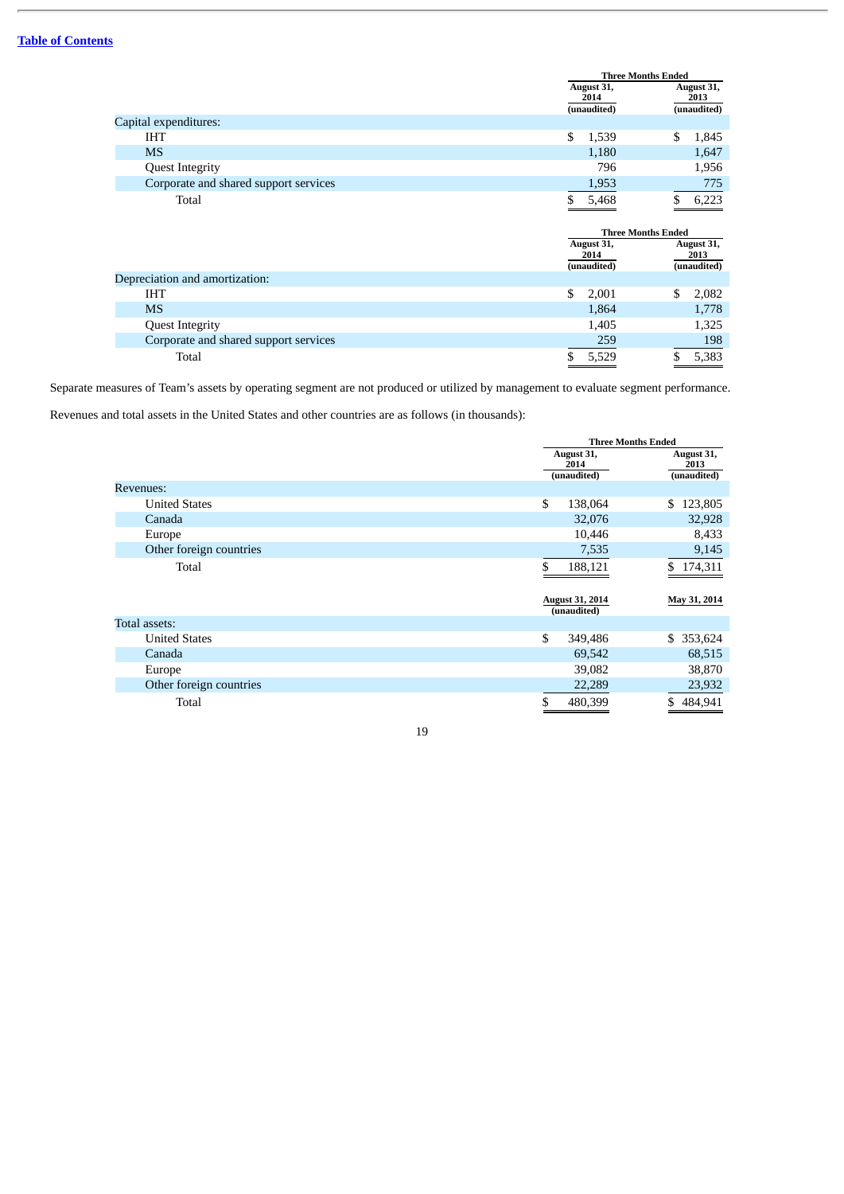|                                       |                    | <b>Three Months Ended</b> |
|---------------------------------------|--------------------|---------------------------|
|                                       | August 31,<br>2014 | August 31,<br>2013        |
|                                       | (unaudited)        | (unaudited)               |
| Capital expenditures:                 |                    |                           |
| IHT                                   | \$<br>1,539        | \$<br>1,845               |
| <b>MS</b>                             | 1,180              | 1,647                     |
| <b>Quest Integrity</b>                | 796                | 1,956                     |
| Corporate and shared support services | 1,953              | 775                       |
| Total                                 | 5,468              | \$<br>6,223               |
|                                       |                    |                           |
|                                       |                    |                           |
|                                       |                    | <b>Three Months Ended</b> |
|                                       | August 31,         | August 31,                |
|                                       | 2014               | 2013                      |
| Depreciation and amortization:        | (unaudited)        | (unaudited)               |
| <b>IHT</b>                            | \$<br>2,001        | \$<br>2,082               |
| <b>MS</b>                             | 1,864              | 1,778                     |
| <b>Quest Integrity</b>                | 1,405              | 1,325                     |
| Corporate and shared support services | 259                | 198                       |

Separate measures of Team's assets by operating segment are not produced or utilized by management to evaluate segment performance.

Revenues and total assets in the United States and other countries are as follows (in thousands):

|                         |                        | <b>Three Months Ended</b> |  |  |
|-------------------------|------------------------|---------------------------|--|--|
|                         | August 31,             | August 31,                |  |  |
|                         | 2014                   | 2013                      |  |  |
|                         | (unaudited)            | (unaudited)               |  |  |
| <b>Revenues:</b>        |                        |                           |  |  |
| <b>United States</b>    | \$<br>138,064          | \$123,805                 |  |  |
| Canada                  | 32,076                 | 32,928                    |  |  |
| Europe                  | 10,446                 | 8,433                     |  |  |
| Other foreign countries | 7,535                  | 9,145                     |  |  |
| Total                   | \$<br>188,121          | \$174,311                 |  |  |
|                         |                        |                           |  |  |
|                         | <b>August 31, 2014</b> | May 31, 2014              |  |  |
|                         | (unaudited)            |                           |  |  |
| Total assets:           |                        |                           |  |  |
| <b>United States</b>    | \$<br>349,486          | \$ 353,624                |  |  |
| Canada                  | 69,542                 | 68,515                    |  |  |
| Europe                  | 39,082                 | 38,870                    |  |  |
| Other foreign countries | 22,289                 | 23,932                    |  |  |
| Total                   | \$<br>480,399          | \$<br>484,941             |  |  |
|                         |                        |                           |  |  |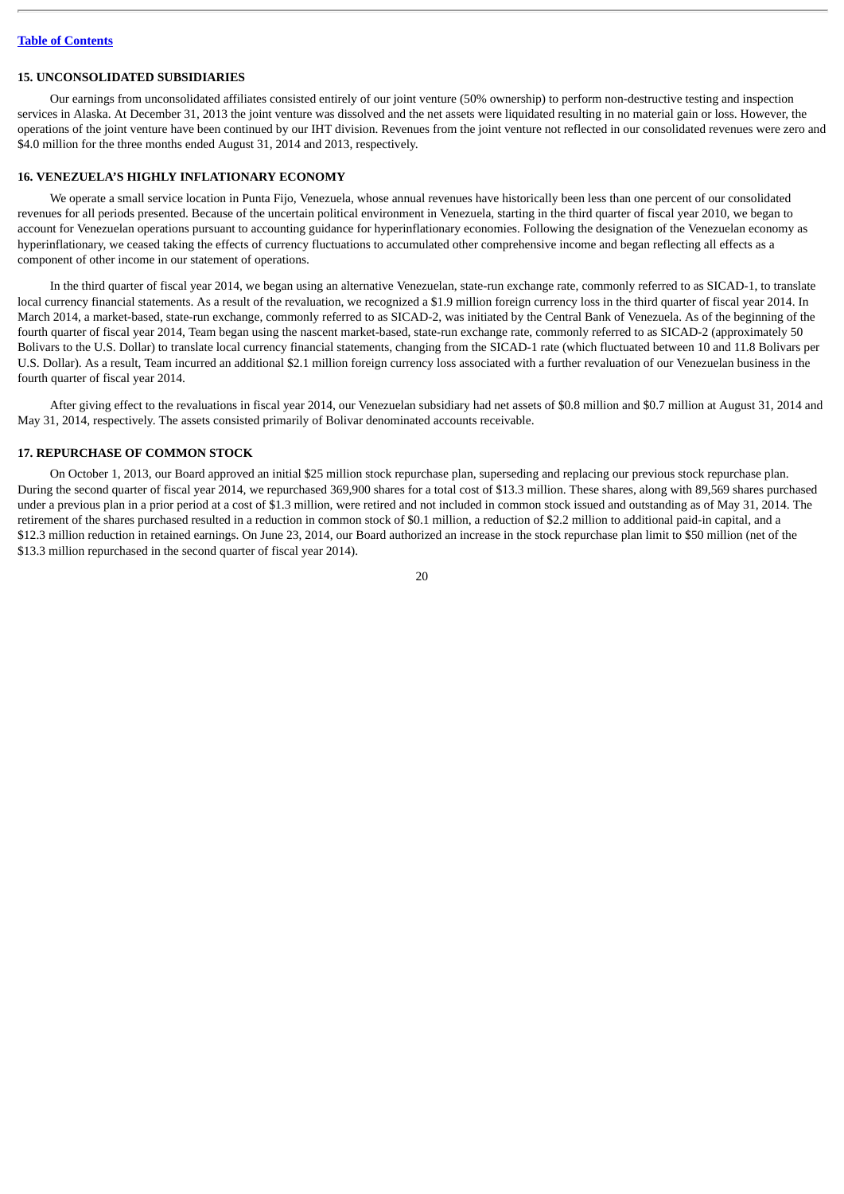#### **15. UNCONSOLIDATED SUBSIDIARIES**

Our earnings from unconsolidated affiliates consisted entirely of our joint venture (50% ownership) to perform non-destructive testing and inspection services in Alaska. At December 31, 2013 the joint venture was dissolved and the net assets were liquidated resulting in no material gain or loss. However, the operations of the joint venture have been continued by our IHT division. Revenues from the joint venture not reflected in our consolidated revenues were zero and \$4.0 million for the three months ended August 31, 2014 and 2013, respectively.

## **16. VENEZUELA'S HIGHLY INFLATIONARY ECONOMY**

We operate a small service location in Punta Fijo, Venezuela, whose annual revenues have historically been less than one percent of our consolidated revenues for all periods presented. Because of the uncertain political environment in Venezuela, starting in the third quarter of fiscal year 2010, we began to account for Venezuelan operations pursuant to accounting guidance for hyperinflationary economies. Following the designation of the Venezuelan economy as hyperinflationary, we ceased taking the effects of currency fluctuations to accumulated other comprehensive income and began reflecting all effects as a component of other income in our statement of operations.

In the third quarter of fiscal year 2014, we began using an alternative Venezuelan, state-run exchange rate, commonly referred to as SICAD-1, to translate local currency financial statements. As a result of the revaluation, we recognized a \$1.9 million foreign currency loss in the third quarter of fiscal year 2014. In March 2014, a market-based, state-run exchange, commonly referred to as SICAD-2, was initiated by the Central Bank of Venezuela. As of the beginning of the fourth quarter of fiscal year 2014, Team began using the nascent market-based, state-run exchange rate, commonly referred to as SICAD-2 (approximately 50 Bolivars to the U.S. Dollar) to translate local currency financial statements, changing from the SICAD-1 rate (which fluctuated between 10 and 11.8 Bolivars per U.S. Dollar). As a result, Team incurred an additional \$2.1 million foreign currency loss associated with a further revaluation of our Venezuelan business in the fourth quarter of fiscal year 2014.

After giving effect to the revaluations in fiscal year 2014, our Venezuelan subsidiary had net assets of \$0.8 million and \$0.7 million at August 31, 2014 and May 31, 2014, respectively. The assets consisted primarily of Bolivar denominated accounts receivable.

#### **17. REPURCHASE OF COMMON STOCK**

On October 1, 2013, our Board approved an initial \$25 million stock repurchase plan, superseding and replacing our previous stock repurchase plan. During the second quarter of fiscal year 2014, we repurchased 369,900 shares for a total cost of \$13.3 million. These shares, along with 89,569 shares purchased under a previous plan in a prior period at a cost of \$1.3 million, were retired and not included in common stock issued and outstanding as of May 31, 2014. The retirement of the shares purchased resulted in a reduction in common stock of \$0.1 million, a reduction of \$2.2 million to additional paid-in capital, and a \$12.3 million reduction in retained earnings. On June 23, 2014, our Board authorized an increase in the stock repurchase plan limit to \$50 million (net of the \$13.3 million repurchased in the second quarter of fiscal year 2014).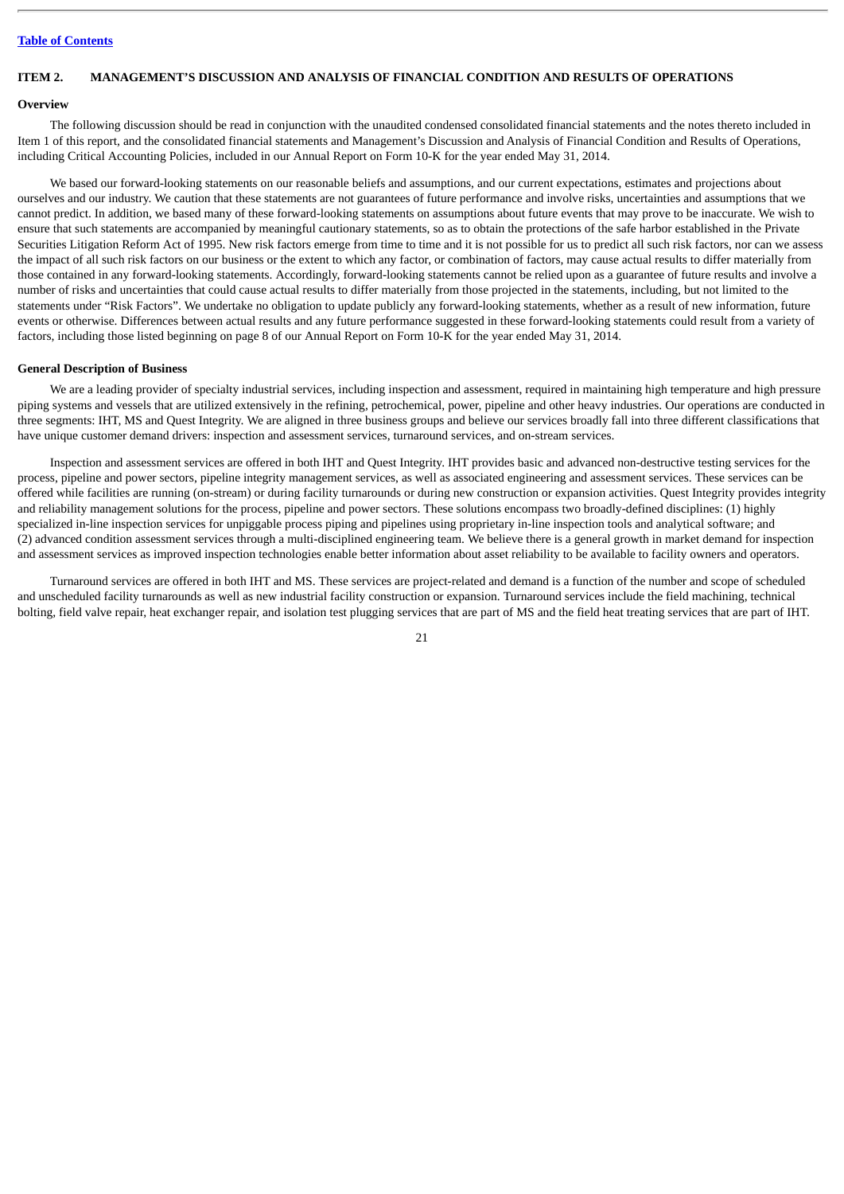## <span id="page-21-0"></span>**ITEM 2. MANAGEMENT'S DISCUSSION AND ANALYSIS OF FINANCIAL CONDITION AND RESULTS OF OPERATIONS**

#### **Overview**

The following discussion should be read in conjunction with the unaudited condensed consolidated financial statements and the notes thereto included in Item 1 of this report, and the consolidated financial statements and Management's Discussion and Analysis of Financial Condition and Results of Operations, including Critical Accounting Policies, included in our Annual Report on Form 10-K for the year ended May 31, 2014.

We based our forward-looking statements on our reasonable beliefs and assumptions, and our current expectations, estimates and projections about ourselves and our industry. We caution that these statements are not guarantees of future performance and involve risks, uncertainties and assumptions that we cannot predict. In addition, we based many of these forward-looking statements on assumptions about future events that may prove to be inaccurate. We wish to ensure that such statements are accompanied by meaningful cautionary statements, so as to obtain the protections of the safe harbor established in the Private Securities Litigation Reform Act of 1995. New risk factors emerge from time to time and it is not possible for us to predict all such risk factors, nor can we assess the impact of all such risk factors on our business or the extent to which any factor, or combination of factors, may cause actual results to differ materially from those contained in any forward-looking statements. Accordingly, forward-looking statements cannot be relied upon as a guarantee of future results and involve a number of risks and uncertainties that could cause actual results to differ materially from those projected in the statements, including, but not limited to the statements under "Risk Factors". We undertake no obligation to update publicly any forward-looking statements, whether as a result of new information, future events or otherwise. Differences between actual results and any future performance suggested in these forward-looking statements could result from a variety of factors, including those listed beginning on page 8 of our Annual Report on Form 10-K for the year ended May 31, 2014.

#### **General Description of Business**

We are a leading provider of specialty industrial services, including inspection and assessment, required in maintaining high temperature and high pressure piping systems and vessels that are utilized extensively in the refining, petrochemical, power, pipeline and other heavy industries. Our operations are conducted in three segments: IHT, MS and Quest Integrity. We are aligned in three business groups and believe our services broadly fall into three different classifications that have unique customer demand drivers: inspection and assessment services, turnaround services, and on-stream services.

Inspection and assessment services are offered in both IHT and Quest Integrity. IHT provides basic and advanced non-destructive testing services for the process, pipeline and power sectors, pipeline integrity management services, as well as associated engineering and assessment services. These services can be offered while facilities are running (on-stream) or during facility turnarounds or during new construction or expansion activities. Quest Integrity provides integrity and reliability management solutions for the process, pipeline and power sectors. These solutions encompass two broadly-defined disciplines: (1) highly specialized in-line inspection services for unpiggable process piping and pipelines using proprietary in-line inspection tools and analytical software; and (2) advanced condition assessment services through a multi-disciplined engineering team. We believe there is a general growth in market demand for inspection and assessment services as improved inspection technologies enable better information about asset reliability to be available to facility owners and operators.

Turnaround services are offered in both IHT and MS. These services are project-related and demand is a function of the number and scope of scheduled and unscheduled facility turnarounds as well as new industrial facility construction or expansion. Turnaround services include the field machining, technical bolting, field valve repair, heat exchanger repair, and isolation test plugging services that are part of MS and the field heat treating services that are part of IHT.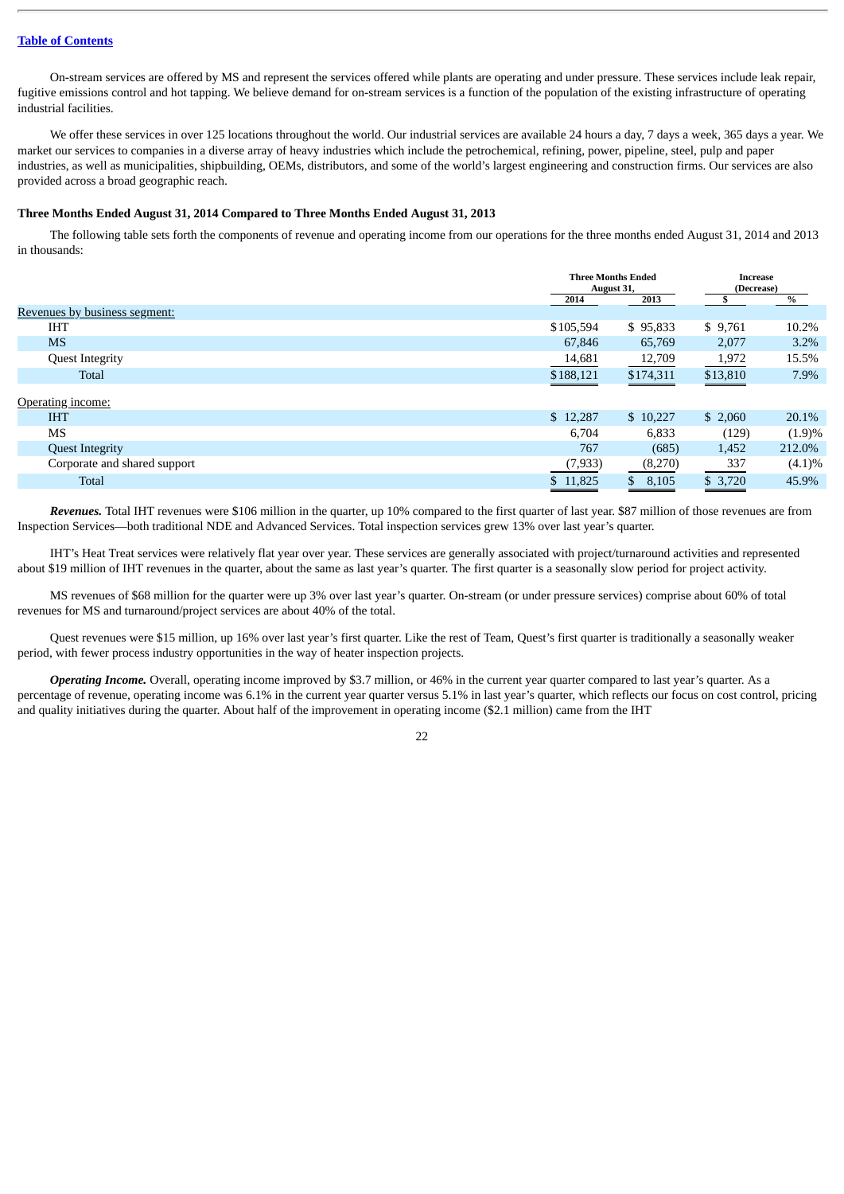On-stream services are offered by MS and represent the services offered while plants are operating and under pressure. These services include leak repair, fugitive emissions control and hot tapping. We believe demand for on-stream services is a function of the population of the existing infrastructure of operating industrial facilities.

We offer these services in over 125 locations throughout the world. Our industrial services are available 24 hours a day, 7 days a week, 365 days a year. We market our services to companies in a diverse array of heavy industries which include the petrochemical, refining, power, pipeline, steel, pulp and paper industries, as well as municipalities, shipbuilding, OEMs, distributors, and some of the world's largest engineering and construction firms. Our services are also provided across a broad geographic reach.

#### **Three Months Ended August 31, 2014 Compared to Three Months Ended August 31, 2013**

The following table sets forth the components of revenue and operating income from our operations for the three months ended August 31, 2014 and 2013 in thousands:

|                               |              | <b>Three Months Ended</b><br>August 31, |          | <b>Increase</b><br>(Decrease) |  |
|-------------------------------|--------------|-----------------------------------------|----------|-------------------------------|--|
|                               | 2014         | 2013                                    |          | %                             |  |
| Revenues by business segment: |              |                                         |          |                               |  |
| <b>IHT</b>                    | \$105,594    | \$95,833                                | \$9,761  | 10.2%                         |  |
| <b>MS</b>                     | 67,846       | 65,769                                  | 2,077    | 3.2%                          |  |
| <b>Quest Integrity</b>        | 14,681       | 12,709                                  | 1,972    | 15.5%                         |  |
| <b>Total</b>                  | \$188,121    | \$174,311                               | \$13,810 | 7.9%                          |  |
| Operating income:             |              |                                         |          |                               |  |
| <b>IHT</b>                    | \$12,287     | \$10,227                                | \$2,060  | 20.1%                         |  |
| <b>MS</b>                     | 6,704        | 6,833                                   | (129)    | (1.9)%                        |  |
| <b>Quest Integrity</b>        | 767          | (685)                                   | 1,452    | 212.0%                        |  |
| Corporate and shared support  | (7, 933)     | (8,270)                                 | 337      | (4.1)%                        |  |
| <b>Total</b>                  | 11,825<br>\$ | $\mathbb{S}$<br>8,105                   | \$3,720  | 45.9%                         |  |

*Revenues.* Total IHT revenues were \$106 million in the quarter, up 10% compared to the first quarter of last year. \$87 million of those revenues are from Inspection Services—both traditional NDE and Advanced Services. Total inspection services grew 13% over last year's quarter.

IHT's Heat Treat services were relatively flat year over year. These services are generally associated with project/turnaround activities and represented about \$19 million of IHT revenues in the quarter, about the same as last year's quarter. The first quarter is a seasonally slow period for project activity.

MS revenues of \$68 million for the quarter were up 3% over last year's quarter. On-stream (or under pressure services) comprise about 60% of total revenues for MS and turnaround/project services are about 40% of the total.

Quest revenues were \$15 million, up 16% over last year's first quarter. Like the rest of Team, Quest's first quarter is traditionally a seasonally weaker period, with fewer process industry opportunities in the way of heater inspection projects.

*Operating Income.* Overall, operating income improved by \$3.7 million, or 46% in the current year quarter compared to last year's quarter. As a percentage of revenue, operating income was 6.1% in the current year quarter versus 5.1% in last year's quarter, which reflects our focus on cost control, pricing and quality initiatives during the quarter. About half of the improvement in operating income (\$2.1 million) came from the IHT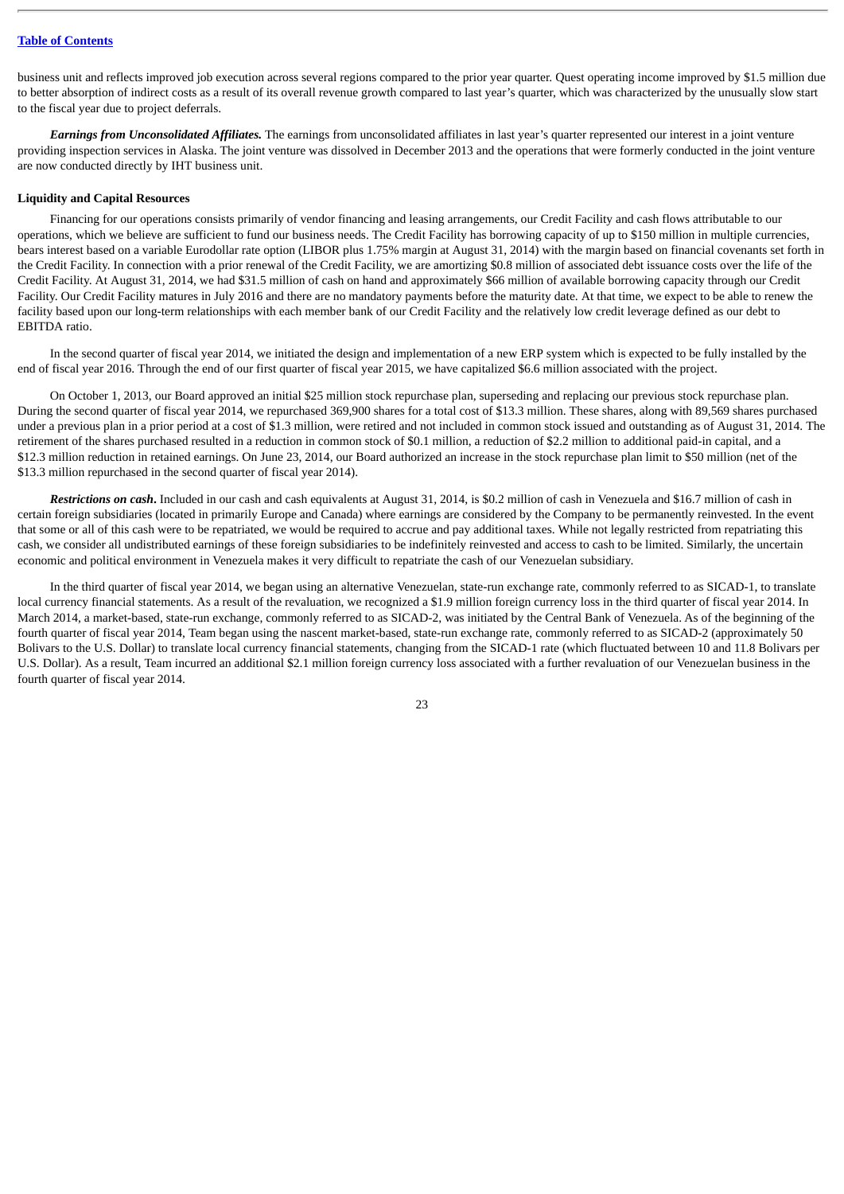business unit and reflects improved job execution across several regions compared to the prior year quarter. Quest operating income improved by \$1.5 million due to better absorption of indirect costs as a result of its overall revenue growth compared to last year's quarter, which was characterized by the unusually slow start to the fiscal year due to project deferrals.

*Earnings from Unconsolidated Affiliates.* The earnings from unconsolidated affiliates in last year's quarter represented our interest in a joint venture providing inspection services in Alaska. The joint venture was dissolved in December 2013 and the operations that were formerly conducted in the joint venture are now conducted directly by IHT business unit.

#### **Liquidity and Capital Resources**

Financing for our operations consists primarily of vendor financing and leasing arrangements, our Credit Facility and cash flows attributable to our operations, which we believe are sufficient to fund our business needs. The Credit Facility has borrowing capacity of up to \$150 million in multiple currencies, bears interest based on a variable Eurodollar rate option (LIBOR plus 1.75% margin at August 31, 2014) with the margin based on financial covenants set forth in the Credit Facility. In connection with a prior renewal of the Credit Facility, we are amortizing \$0.8 million of associated debt issuance costs over the life of the Credit Facility. At August 31, 2014, we had \$31.5 million of cash on hand and approximately \$66 million of available borrowing capacity through our Credit Facility. Our Credit Facility matures in July 2016 and there are no mandatory payments before the maturity date. At that time, we expect to be able to renew the facility based upon our long-term relationships with each member bank of our Credit Facility and the relatively low credit leverage defined as our debt to EBITDA ratio.

In the second quarter of fiscal year 2014, we initiated the design and implementation of a new ERP system which is expected to be fully installed by the end of fiscal year 2016. Through the end of our first quarter of fiscal year 2015, we have capitalized \$6.6 million associated with the project.

On October 1, 2013, our Board approved an initial \$25 million stock repurchase plan, superseding and replacing our previous stock repurchase plan. During the second quarter of fiscal year 2014, we repurchased 369,900 shares for a total cost of \$13.3 million. These shares, along with 89,569 shares purchased under a previous plan in a prior period at a cost of \$1.3 million, were retired and not included in common stock issued and outstanding as of August 31, 2014. The retirement of the shares purchased resulted in a reduction in common stock of \$0.1 million, a reduction of \$2.2 million to additional paid-in capital, and a \$12.3 million reduction in retained earnings. On June 23, 2014, our Board authorized an increase in the stock repurchase plan limit to \$50 million (net of the \$13.3 million repurchased in the second quarter of fiscal year 2014).

*Restrictions on cash***.** Included in our cash and cash equivalents at August 31, 2014, is \$0.2 million of cash in Venezuela and \$16.7 million of cash in certain foreign subsidiaries (located in primarily Europe and Canada) where earnings are considered by the Company to be permanently reinvested. In the event that some or all of this cash were to be repatriated, we would be required to accrue and pay additional taxes. While not legally restricted from repatriating this cash, we consider all undistributed earnings of these foreign subsidiaries to be indefinitely reinvested and access to cash to be limited. Similarly, the uncertain economic and political environment in Venezuela makes it very difficult to repatriate the cash of our Venezuelan subsidiary.

In the third quarter of fiscal year 2014, we began using an alternative Venezuelan, state-run exchange rate, commonly referred to as SICAD-1, to translate local currency financial statements. As a result of the revaluation, we recognized a \$1.9 million foreign currency loss in the third quarter of fiscal year 2014. In March 2014, a market-based, state-run exchange, commonly referred to as SICAD-2, was initiated by the Central Bank of Venezuela. As of the beginning of the fourth quarter of fiscal year 2014, Team began using the nascent market-based, state-run exchange rate, commonly referred to as SICAD-2 (approximately 50 Bolivars to the U.S. Dollar) to translate local currency financial statements, changing from the SICAD-1 rate (which fluctuated between 10 and 11.8 Bolivars per U.S. Dollar). As a result, Team incurred an additional \$2.1 million foreign currency loss associated with a further revaluation of our Venezuelan business in the fourth quarter of fiscal year 2014.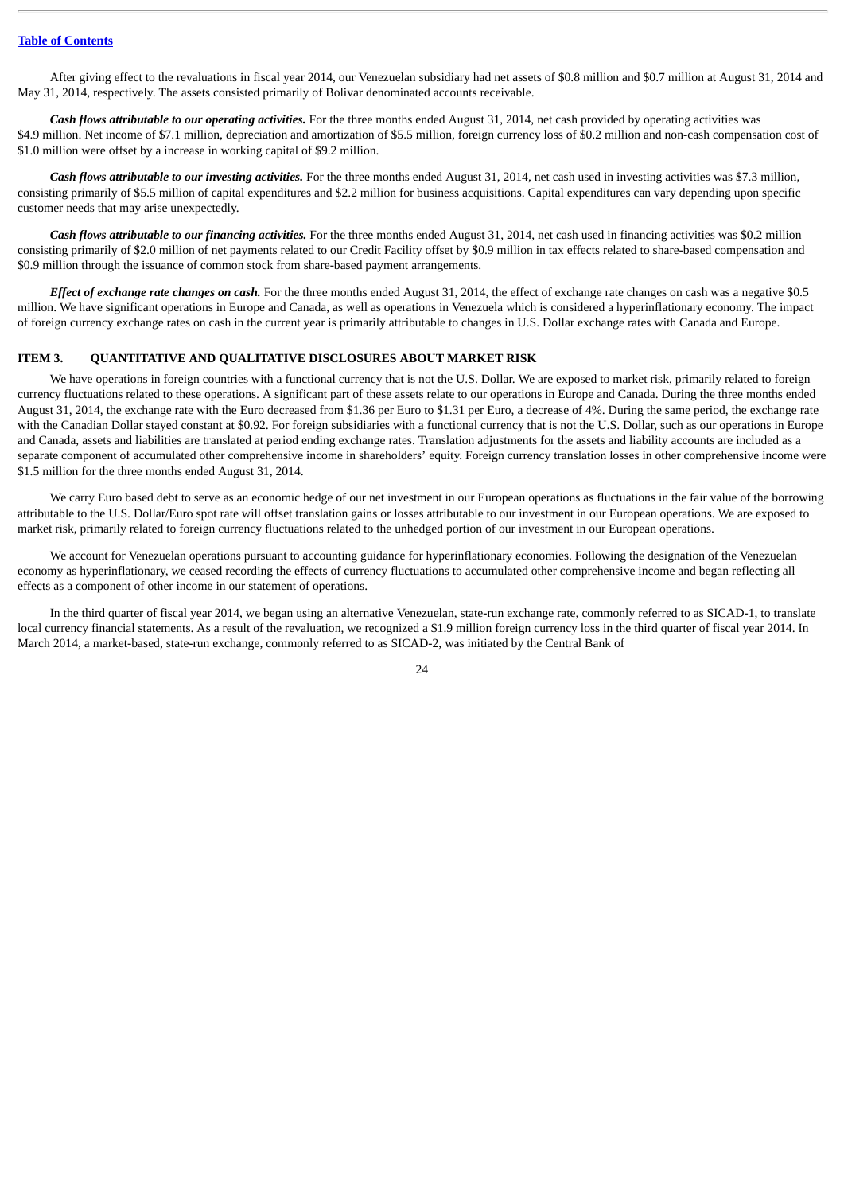After giving effect to the revaluations in fiscal year 2014, our Venezuelan subsidiary had net assets of \$0.8 million and \$0.7 million at August 31, 2014 and May 31, 2014, respectively. The assets consisted primarily of Bolivar denominated accounts receivable.

*Cash flows attributable to our operating activities.* For the three months ended August 31, 2014, net cash provided by operating activities was \$4.9 million. Net income of \$7.1 million, depreciation and amortization of \$5.5 million, foreign currency loss of \$0.2 million and non-cash compensation cost of \$1.0 million were offset by a increase in working capital of \$9.2 million.

*Cash flows attributable to our investing activities.* For the three months ended August 31, 2014, net cash used in investing activities was \$7.3 million, consisting primarily of \$5.5 million of capital expenditures and \$2.2 million for business acquisitions. Capital expenditures can vary depending upon specific customer needs that may arise unexpectedly.

*Cash flows attributable to our financing activities.* For the three months ended August 31, 2014, net cash used in financing activities was \$0.2 million consisting primarily of \$2.0 million of net payments related to our Credit Facility offset by \$0.9 million in tax effects related to share-based compensation and \$0.9 million through the issuance of common stock from share-based payment arrangements.

*Effect of exchange rate changes on cash.* For the three months ended August 31, 2014, the effect of exchange rate changes on cash was a negative \$0.5 million. We have significant operations in Europe and Canada, as well as operations in Venezuela which is considered a hyperinflationary economy. The impact of foreign currency exchange rates on cash in the current year is primarily attributable to changes in U.S. Dollar exchange rates with Canada and Europe.

### <span id="page-24-0"></span>**ITEM 3. QUANTITATIVE AND QUALITATIVE DISCLOSURES ABOUT MARKET RISK**

We have operations in foreign countries with a functional currency that is not the U.S. Dollar. We are exposed to market risk, primarily related to foreign currency fluctuations related to these operations. A significant part of these assets relate to our operations in Europe and Canada. During the three months ended August 31, 2014, the exchange rate with the Euro decreased from \$1.36 per Euro to \$1.31 per Euro, a decrease of 4%. During the same period, the exchange rate with the Canadian Dollar stayed constant at \$0.92. For foreign subsidiaries with a functional currency that is not the U.S. Dollar, such as our operations in Europe and Canada, assets and liabilities are translated at period ending exchange rates. Translation adjustments for the assets and liability accounts are included as a separate component of accumulated other comprehensive income in shareholders' equity. Foreign currency translation losses in other comprehensive income were \$1.5 million for the three months ended August 31, 2014.

We carry Euro based debt to serve as an economic hedge of our net investment in our European operations as fluctuations in the fair value of the borrowing attributable to the U.S. Dollar/Euro spot rate will offset translation gains or losses attributable to our investment in our European operations. We are exposed to market risk, primarily related to foreign currency fluctuations related to the unhedged portion of our investment in our European operations.

We account for Venezuelan operations pursuant to accounting guidance for hyperinflationary economies. Following the designation of the Venezuelan economy as hyperinflationary, we ceased recording the effects of currency fluctuations to accumulated other comprehensive income and began reflecting all effects as a component of other income in our statement of operations.

In the third quarter of fiscal year 2014, we began using an alternative Venezuelan, state-run exchange rate, commonly referred to as SICAD-1, to translate local currency financial statements. As a result of the revaluation, we recognized a \$1.9 million foreign currency loss in the third quarter of fiscal year 2014. In March 2014, a market-based, state-run exchange, commonly referred to as SICAD-2, was initiated by the Central Bank of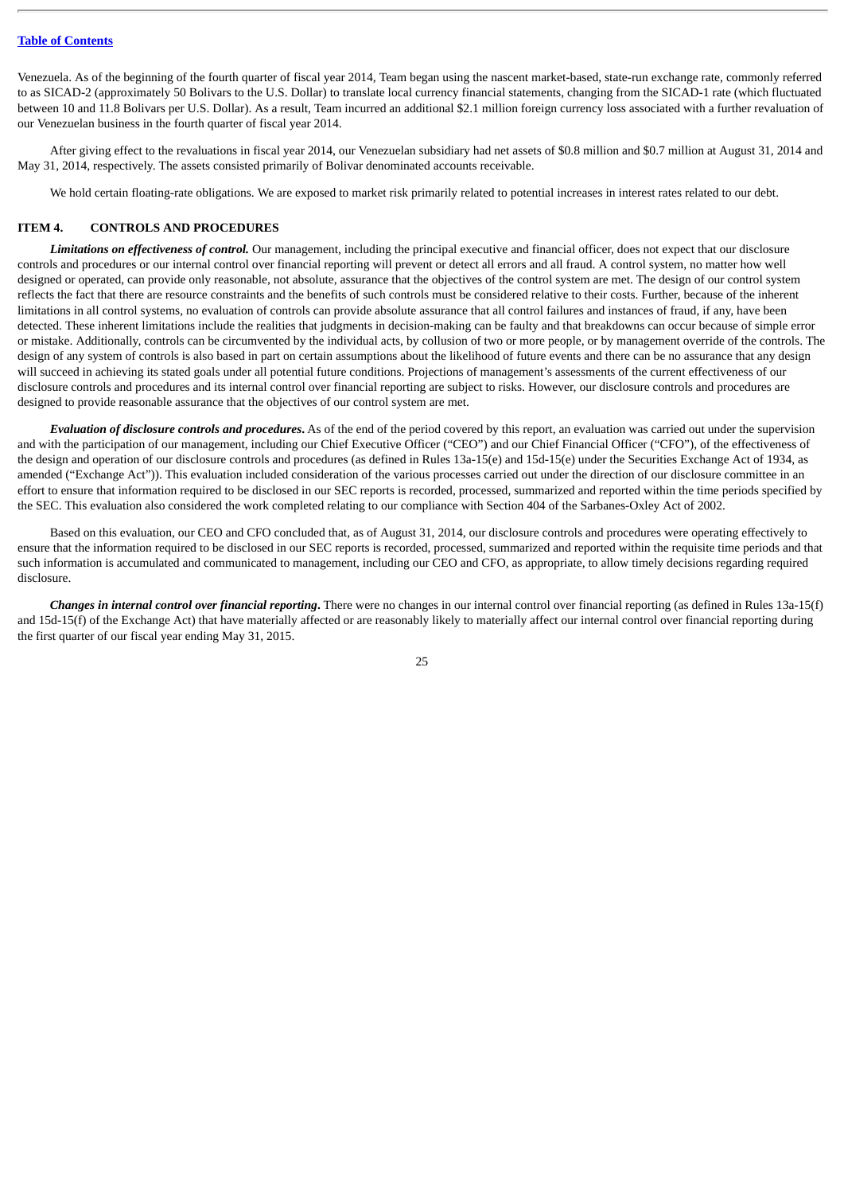Venezuela. As of the beginning of the fourth quarter of fiscal year 2014, Team began using the nascent market-based, state-run exchange rate, commonly referred to as SICAD-2 (approximately 50 Bolivars to the U.S. Dollar) to translate local currency financial statements, changing from the SICAD-1 rate (which fluctuated between 10 and 11.8 Bolivars per U.S. Dollar). As a result, Team incurred an additional \$2.1 million foreign currency loss associated with a further revaluation of our Venezuelan business in the fourth quarter of fiscal year 2014.

After giving effect to the revaluations in fiscal year 2014, our Venezuelan subsidiary had net assets of \$0.8 million and \$0.7 million at August 31, 2014 and May 31, 2014, respectively. The assets consisted primarily of Bolivar denominated accounts receivable.

We hold certain floating-rate obligations. We are exposed to market risk primarily related to potential increases in interest rates related to our debt.

### <span id="page-25-0"></span>**ITEM 4. CONTROLS AND PROCEDURES**

*Limitations on effectiveness of control.* Our management, including the principal executive and financial officer, does not expect that our disclosure controls and procedures or our internal control over financial reporting will prevent or detect all errors and all fraud. A control system, no matter how well designed or operated, can provide only reasonable, not absolute, assurance that the objectives of the control system are met. The design of our control system reflects the fact that there are resource constraints and the benefits of such controls must be considered relative to their costs. Further, because of the inherent limitations in all control systems, no evaluation of controls can provide absolute assurance that all control failures and instances of fraud, if any, have been detected. These inherent limitations include the realities that judgments in decision-making can be faulty and that breakdowns can occur because of simple error or mistake. Additionally, controls can be circumvented by the individual acts, by collusion of two or more people, or by management override of the controls. The design of any system of controls is also based in part on certain assumptions about the likelihood of future events and there can be no assurance that any design will succeed in achieving its stated goals under all potential future conditions. Projections of management's assessments of the current effectiveness of our disclosure controls and procedures and its internal control over financial reporting are subject to risks. However, our disclosure controls and procedures are designed to provide reasonable assurance that the objectives of our control system are met.

*Evaluation of disclosure controls and procedures***.** As of the end of the period covered by this report, an evaluation was carried out under the supervision and with the participation of our management, including our Chief Executive Officer ("CEO") and our Chief Financial Officer ("CFO"), of the effectiveness of the design and operation of our disclosure controls and procedures (as defined in Rules 13a-15(e) and 15d-15(e) under the Securities Exchange Act of 1934, as amended ("Exchange Act")). This evaluation included consideration of the various processes carried out under the direction of our disclosure committee in an effort to ensure that information required to be disclosed in our SEC reports is recorded, processed, summarized and reported within the time periods specified by the SEC. This evaluation also considered the work completed relating to our compliance with Section 404 of the Sarbanes-Oxley Act of 2002.

Based on this evaluation, our CEO and CFO concluded that, as of August 31, 2014, our disclosure controls and procedures were operating effectively to ensure that the information required to be disclosed in our SEC reports is recorded, processed, summarized and reported within the requisite time periods and that such information is accumulated and communicated to management, including our CEO and CFO, as appropriate, to allow timely decisions regarding required disclosure.

*Changes in internal control over financial reporting***.** There were no changes in our internal control over financial reporting (as defined in Rules 13a-15(f) and 15d-15(f) of the Exchange Act) that have materially affected or are reasonably likely to materially affect our internal control over financial reporting during the first quarter of our fiscal year ending May 31, 2015.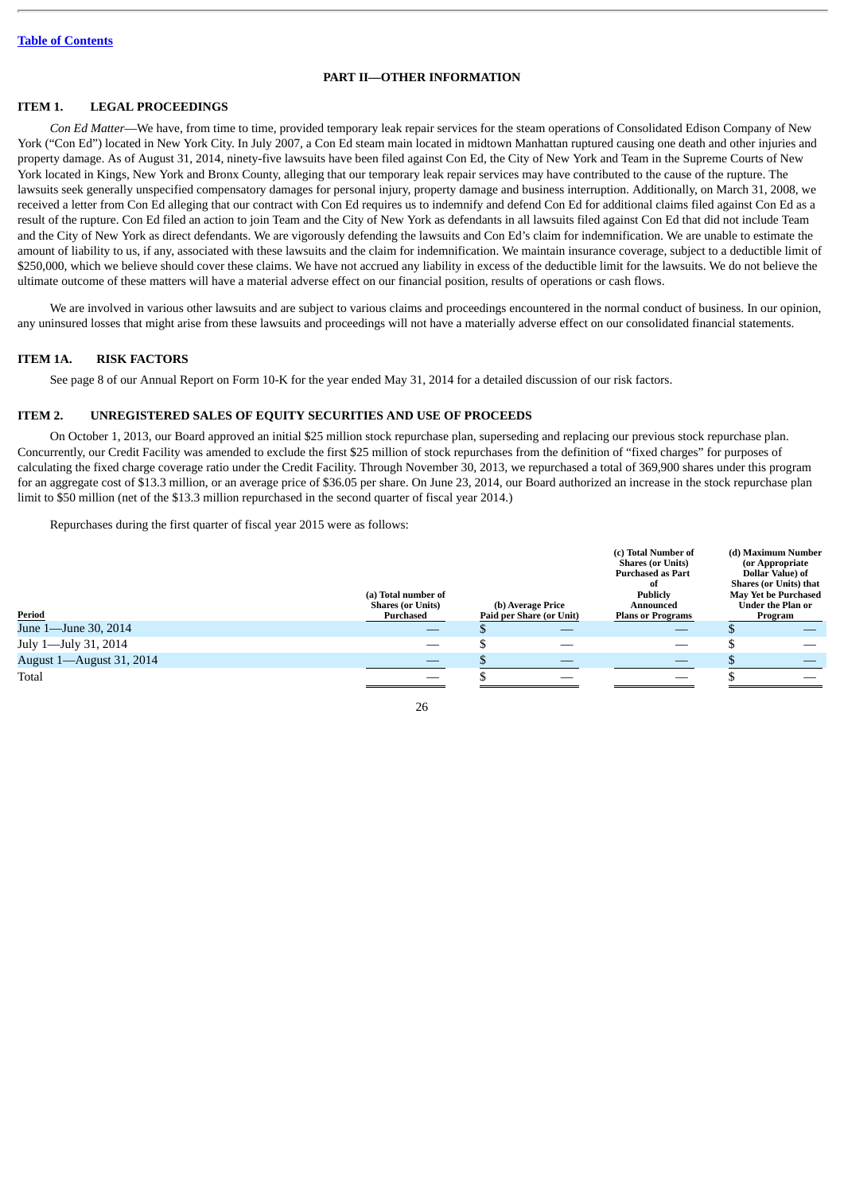### **PART II—OTHER INFORMATION**

## <span id="page-26-1"></span><span id="page-26-0"></span>**ITEM 1. LEGAL PROCEEDINGS**

*Con Ed Matter*—We have, from time to time, provided temporary leak repair services for the steam operations of Consolidated Edison Company of New York ("Con Ed") located in New York City. In July 2007, a Con Ed steam main located in midtown Manhattan ruptured causing one death and other injuries and property damage. As of August 31, 2014, ninety-five lawsuits have been filed against Con Ed, the City of New York and Team in the Supreme Courts of New York located in Kings, New York and Bronx County, alleging that our temporary leak repair services may have contributed to the cause of the rupture. The lawsuits seek generally unspecified compensatory damages for personal injury, property damage and business interruption. Additionally, on March 31, 2008, we received a letter from Con Ed alleging that our contract with Con Ed requires us to indemnify and defend Con Ed for additional claims filed against Con Ed as a result of the rupture. Con Ed filed an action to join Team and the City of New York as defendants in all lawsuits filed against Con Ed that did not include Team and the City of New York as direct defendants. We are vigorously defending the lawsuits and Con Ed's claim for indemnification. We are unable to estimate the amount of liability to us, if any, associated with these lawsuits and the claim for indemnification. We maintain insurance coverage, subject to a deductible limit of \$250,000, which we believe should cover these claims. We have not accrued any liability in excess of the deductible limit for the lawsuits. We do not believe the ultimate outcome of these matters will have a material adverse effect on our financial position, results of operations or cash flows.

We are involved in various other lawsuits and are subject to various claims and proceedings encountered in the normal conduct of business. In our opinion, any uninsured losses that might arise from these lawsuits and proceedings will not have a materially adverse effect on our consolidated financial statements.

#### <span id="page-26-2"></span>**ITEM 1A. RISK FACTORS**

See page 8 of our Annual Report on Form 10-K for the year ended May 31, 2014 for a detailed discussion of our risk factors.

## <span id="page-26-3"></span>**ITEM 2. UNREGISTERED SALES OF EQUITY SECURITIES AND USE OF PROCEEDS**

On October 1, 2013, our Board approved an initial \$25 million stock repurchase plan, superseding and replacing our previous stock repurchase plan. Concurrently, our Credit Facility was amended to exclude the first \$25 million of stock repurchases from the definition of "fixed charges" for purposes of calculating the fixed charge coverage ratio under the Credit Facility. Through November 30, 2013, we repurchased a total of 369,900 shares under this program for an aggregate cost of \$13.3 million, or an average price of \$36.05 per share. On June 23, 2014, our Board authorized an increase in the stock repurchase plan limit to \$50 million (net of the \$13.3 million repurchased in the second quarter of fiscal year 2014.)

Repurchases during the first quarter of fiscal year 2015 were as follows:

| Period                   | (a) Total number of<br><b>Shares (or Units)</b><br>Purchased | (b) Average Price<br>Paid per Share (or Unit) | (c) Total Number of<br><b>Shares (or Units)</b><br><b>Purchased as Part</b><br>of<br><b>Publicly</b><br>Announced<br><b>Plans or Programs</b> | (d) Maximum Number<br>(or Appropriate<br>Dollar Value) of<br><b>Shares (or Units) that</b><br><b>May Yet be Purchased</b><br>Under the Plan or<br>Program |
|--------------------------|--------------------------------------------------------------|-----------------------------------------------|-----------------------------------------------------------------------------------------------------------------------------------------------|-----------------------------------------------------------------------------------------------------------------------------------------------------------|
| June 1—June 30, 2014     |                                                              |                                               |                                                                                                                                               |                                                                                                                                                           |
| July 1—July 31, 2014     |                                                              |                                               |                                                                                                                                               |                                                                                                                                                           |
| August 1—August 31, 2014 |                                                              | __                                            | __                                                                                                                                            |                                                                                                                                                           |
| Total                    |                                                              |                                               |                                                                                                                                               |                                                                                                                                                           |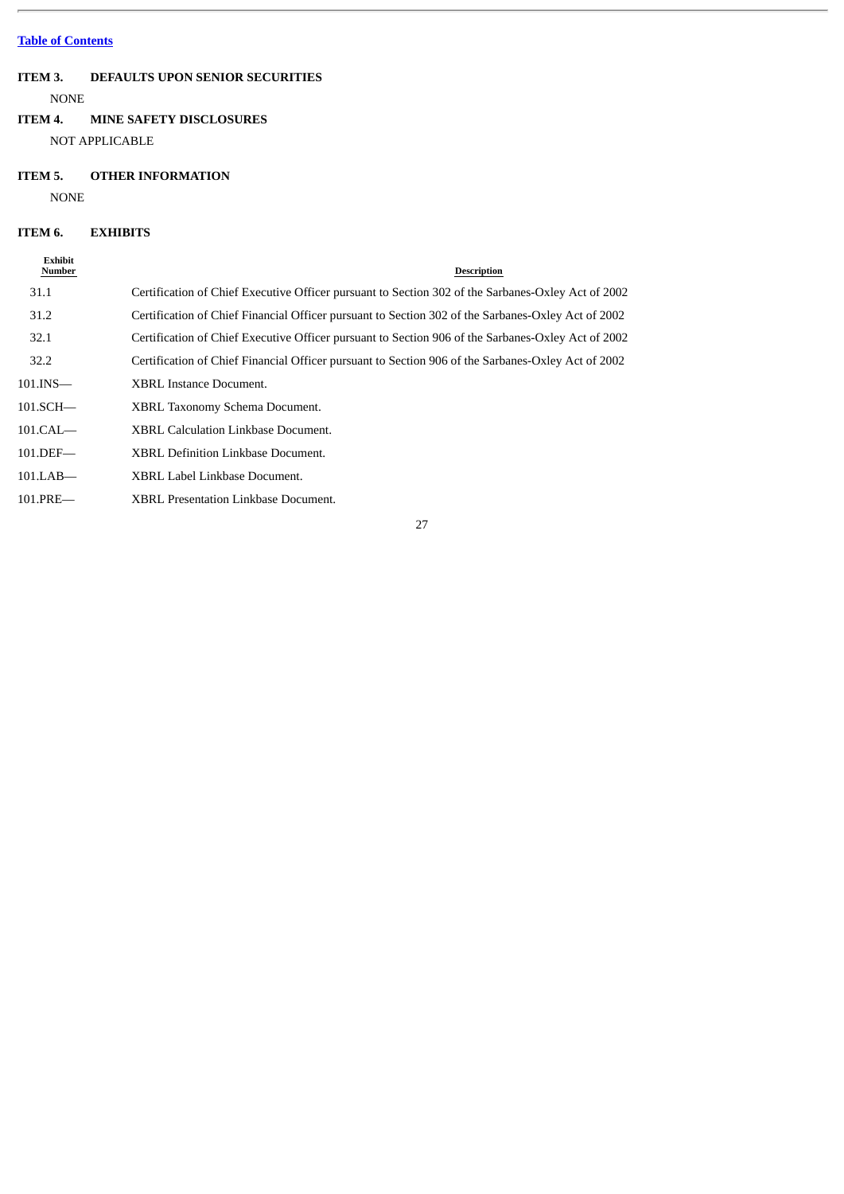# <span id="page-27-0"></span>**ITEM 3. DEFAULTS UPON SENIOR SECURITIES**

NONE

## <span id="page-27-1"></span>**ITEM 4. MINE SAFETY DISCLOSURES**

NOT APPLICABLE

# <span id="page-27-2"></span>**ITEM 5. OTHER INFORMATION**

NONE

# <span id="page-27-3"></span>**ITEM 6. EXHIBITS**

| <b>Exhibit</b><br>Number | <b>Description</b>                                                                                 |
|--------------------------|----------------------------------------------------------------------------------------------------|
| 31.1                     | Certification of Chief Executive Officer pursuant to Section 302 of the Sarbanes-Oxley Act of 2002 |
| 31.2                     | Certification of Chief Financial Officer pursuant to Section 302 of the Sarbanes-Oxley Act of 2002 |
| 32.1                     | Certification of Chief Executive Officer pursuant to Section 906 of the Sarbanes-Oxley Act of 2002 |
| 32.2                     | Certification of Chief Financial Officer pursuant to Section 906 of the Sarbanes-Oxley Act of 2002 |
| 101.INS                  | <b>XBRL Instance Document.</b>                                                                     |
| $101.SCH$ —              | XBRL Taxonomy Schema Document.                                                                     |
| 101.CAL                  | XBRL Calculation Linkbase Document.                                                                |
| $101.$ DEF—              | XBRL Definition Linkbase Document.                                                                 |
| 101.LAB—                 | XBRL Label Linkbase Document.                                                                      |
| 101.PRE—                 | XBRL Presentation Linkbase Document.                                                               |
|                          |                                                                                                    |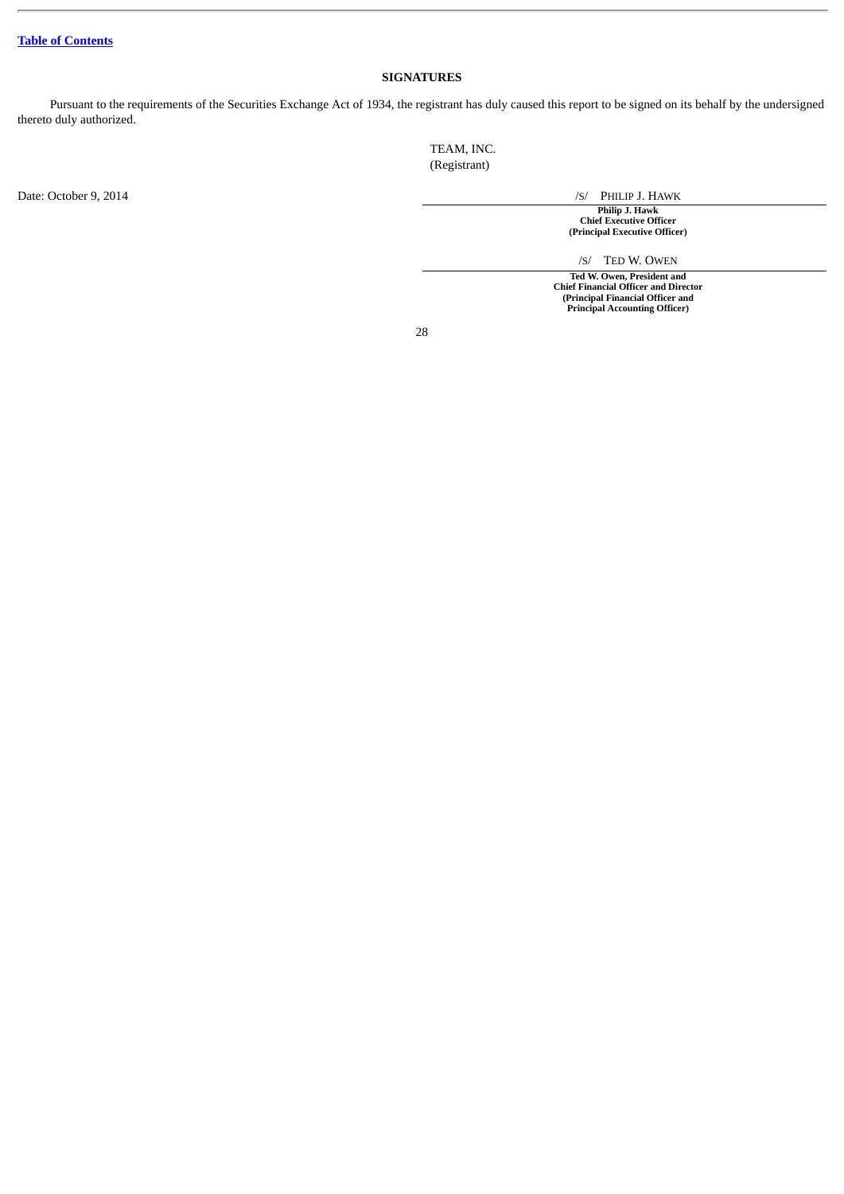## **SIGNATURES**

<span id="page-28-0"></span>Pursuant to the requirements of the Securities Exchange Act of 1934, the registrant has duly caused this report to be signed on its behalf by the undersigned thereto duly authorized.

> TEAM, INC. (Registrant)

Date: October 9, 2014 /S/ PHILIP J. HAWK **Philip J. Hawk Chief Executive Officer (Principal Executive Officer)**

/S/ TED W. OWEN

**Ted W. Owen, President and Chief Financial Officer and Director (Principal Financial Officer and Principal Accounting Officer)**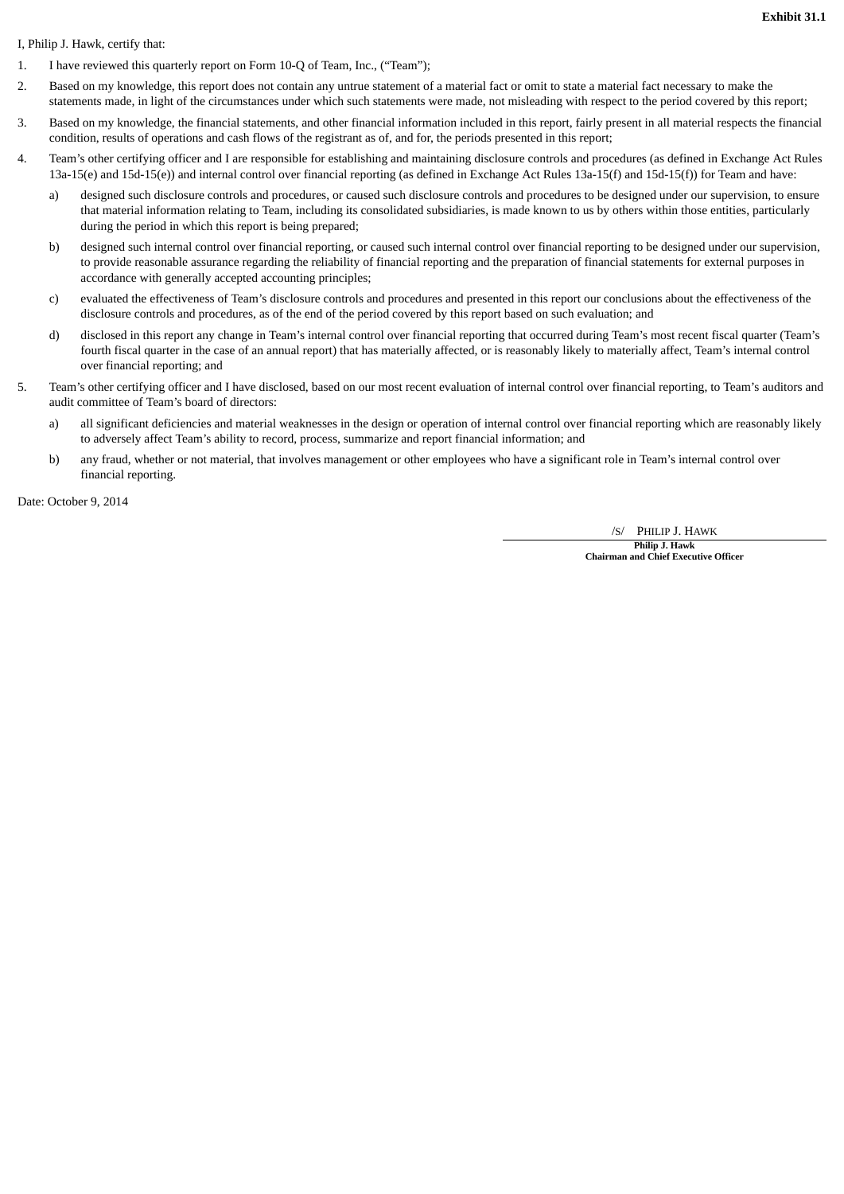**Exhibit 31.1**

I, Philip J. Hawk, certify that:

- 1. I have reviewed this quarterly report on Form 10-Q of Team, Inc., ("Team");
- 2. Based on my knowledge, this report does not contain any untrue statement of a material fact or omit to state a material fact necessary to make the statements made, in light of the circumstances under which such statements were made, not misleading with respect to the period covered by this report;
- 3. Based on my knowledge, the financial statements, and other financial information included in this report, fairly present in all material respects the financial condition, results of operations and cash flows of the registrant as of, and for, the periods presented in this report;
- 4. Team's other certifying officer and I are responsible for establishing and maintaining disclosure controls and procedures (as defined in Exchange Act Rules 13a-15(e) and 15d-15(e)) and internal control over financial reporting (as defined in Exchange Act Rules 13a-15(f) and 15d-15(f)) for Team and have:
	- a) designed such disclosure controls and procedures, or caused such disclosure controls and procedures to be designed under our supervision, to ensure that material information relating to Team, including its consolidated subsidiaries, is made known to us by others within those entities, particularly during the period in which this report is being prepared;
	- b) designed such internal control over financial reporting, or caused such internal control over financial reporting to be designed under our supervision, to provide reasonable assurance regarding the reliability of financial reporting and the preparation of financial statements for external purposes in accordance with generally accepted accounting principles;
	- c) evaluated the effectiveness of Team's disclosure controls and procedures and presented in this report our conclusions about the effectiveness of the disclosure controls and procedures, as of the end of the period covered by this report based on such evaluation; and
	- d) disclosed in this report any change in Team's internal control over financial reporting that occurred during Team's most recent fiscal quarter (Team's fourth fiscal quarter in the case of an annual report) that has materially affected, or is reasonably likely to materially affect, Team's internal control over financial reporting; and
- 5. Team's other certifying officer and I have disclosed, based on our most recent evaluation of internal control over financial reporting, to Team's auditors and audit committee of Team's board of directors:
	- a) all significant deficiencies and material weaknesses in the design or operation of internal control over financial reporting which are reasonably likely to adversely affect Team's ability to record, process, summarize and report financial information; and
	- b) any fraud, whether or not material, that involves management or other employees who have a significant role in Team's internal control over financial reporting.

Date: October 9, 2014

/S/ PHILIP J. HAWK

**Philip J. Hawk Chairman and Chief Executive Officer**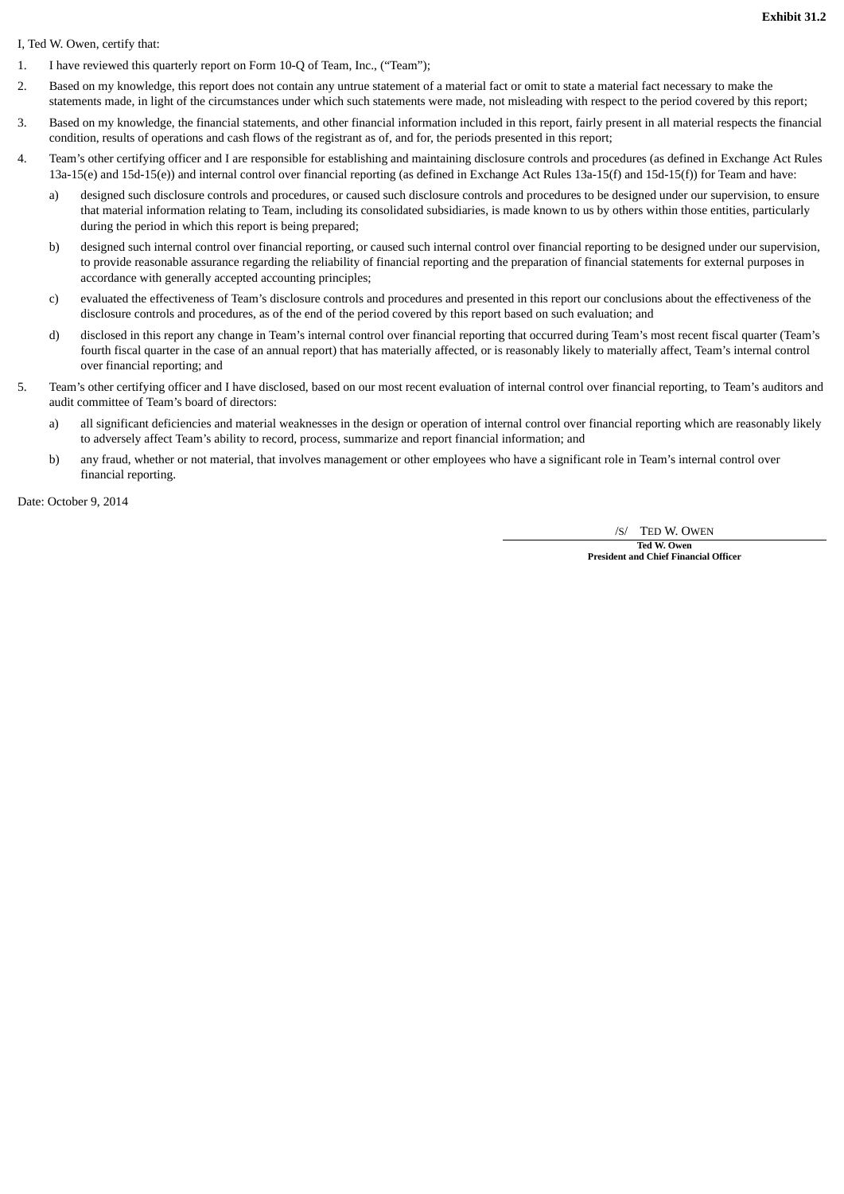**Exhibit 31.2**

## I, Ted W. Owen, certify that:

- 1. I have reviewed this quarterly report on Form 10-Q of Team, Inc., ("Team");
- 2. Based on my knowledge, this report does not contain any untrue statement of a material fact or omit to state a material fact necessary to make the statements made, in light of the circumstances under which such statements were made, not misleading with respect to the period covered by this report;
- 3. Based on my knowledge, the financial statements, and other financial information included in this report, fairly present in all material respects the financial condition, results of operations and cash flows of the registrant as of, and for, the periods presented in this report;
- 4. Team's other certifying officer and I are responsible for establishing and maintaining disclosure controls and procedures (as defined in Exchange Act Rules 13a-15(e) and 15d-15(e)) and internal control over financial reporting (as defined in Exchange Act Rules 13a-15(f) and 15d-15(f)) for Team and have:
	- a) designed such disclosure controls and procedures, or caused such disclosure controls and procedures to be designed under our supervision, to ensure that material information relating to Team, including its consolidated subsidiaries, is made known to us by others within those entities, particularly during the period in which this report is being prepared;
	- b) designed such internal control over financial reporting, or caused such internal control over financial reporting to be designed under our supervision, to provide reasonable assurance regarding the reliability of financial reporting and the preparation of financial statements for external purposes in accordance with generally accepted accounting principles;
	- c) evaluated the effectiveness of Team's disclosure controls and procedures and presented in this report our conclusions about the effectiveness of the disclosure controls and procedures, as of the end of the period covered by this report based on such evaluation; and
	- d) disclosed in this report any change in Team's internal control over financial reporting that occurred during Team's most recent fiscal quarter (Team's fourth fiscal quarter in the case of an annual report) that has materially affected, or is reasonably likely to materially affect, Team's internal control over financial reporting; and
- 5. Team's other certifying officer and I have disclosed, based on our most recent evaluation of internal control over financial reporting, to Team's auditors and audit committee of Team's board of directors:
	- a) all significant deficiencies and material weaknesses in the design or operation of internal control over financial reporting which are reasonably likely to adversely affect Team's ability to record, process, summarize and report financial information; and
	- b) any fraud, whether or not material, that involves management or other employees who have a significant role in Team's internal control over financial reporting.

Date: October 9, 2014

/S/ TED W. OWEN

**Ted W. Owen President and Chief Financial Officer**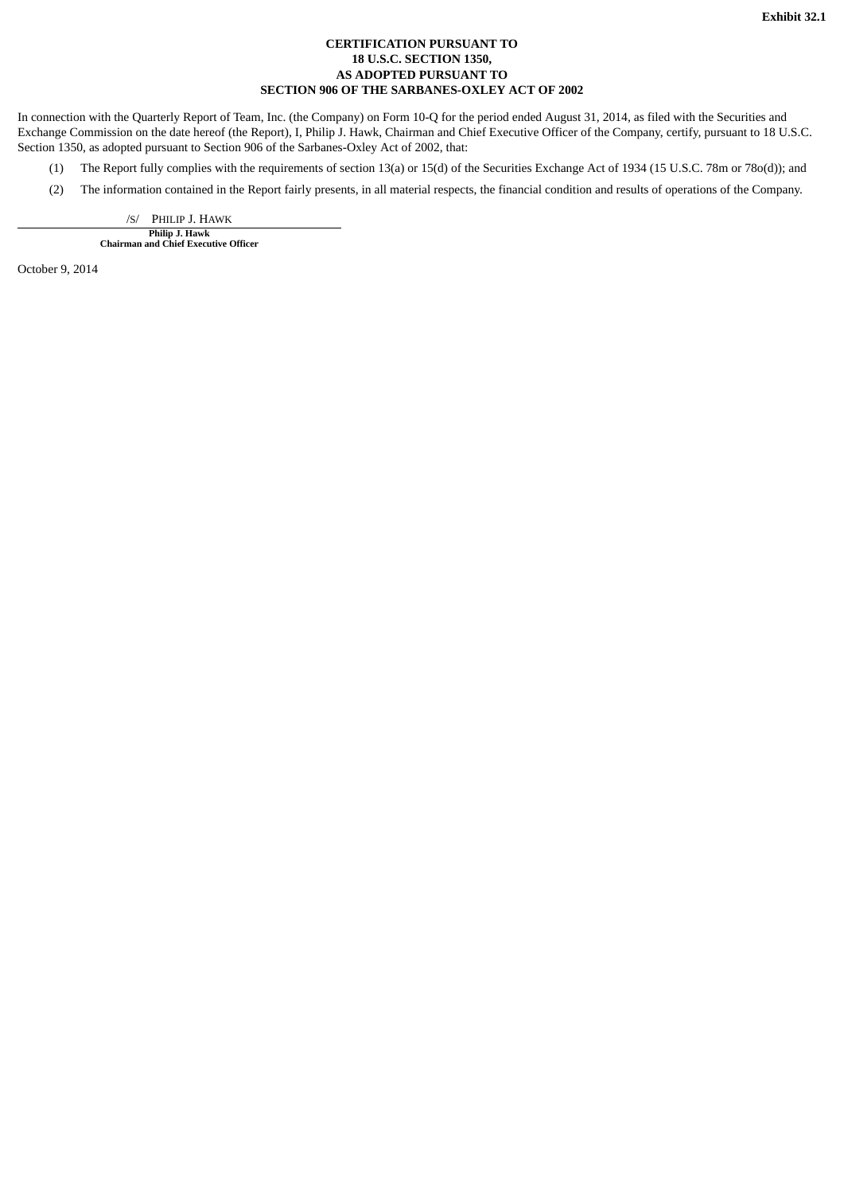## **CERTIFICATION PURSUANT TO 18 U.S.C. SECTION 1350, AS ADOPTED PURSUANT TO SECTION 906 OF THE SARBANES-OXLEY ACT OF 2002**

In connection with the Quarterly Report of Team, Inc. (the Company) on Form 10-Q for the period ended August 31, 2014, as filed with the Securities and Exchange Commission on the date hereof (the Report), I, Philip J. Hawk, Chairman and Chief Executive Officer of the Company, certify, pursuant to 18 U.S.C. Section 1350, as adopted pursuant to Section 906 of the Sarbanes-Oxley Act of 2002, that:

- (1) The Report fully complies with the requirements of section 13(a) or 15(d) of the Securities Exchange Act of 1934 (15 U.S.C. 78m or 78o(d)); and
- (2) The information contained in the Report fairly presents, in all material respects, the financial condition and results of operations of the Company.

/S/ PHILIP J. HAWK

**Philip J. Hawk Chairman and Chief Executive Officer**

October 9, 2014